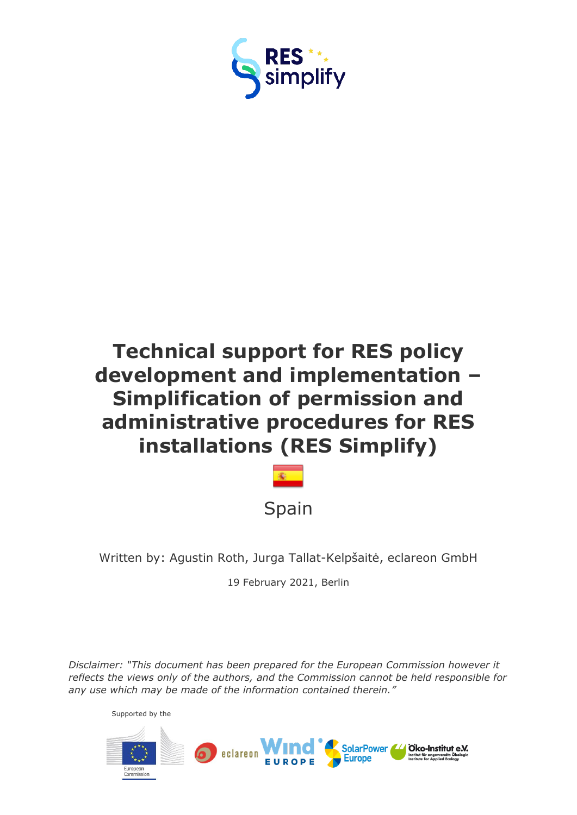



Written by: Agustin Roth, Jurga Tallat-Kelpšaitė, eclareon GmbH

19 February 2021, Berlin

*Disclaimer: "This document has been prepared for the European Commission however it reflects the views only of the authors, and the Commission cannot be held responsible for any use which may be made of the information contained therein."*



Supported by the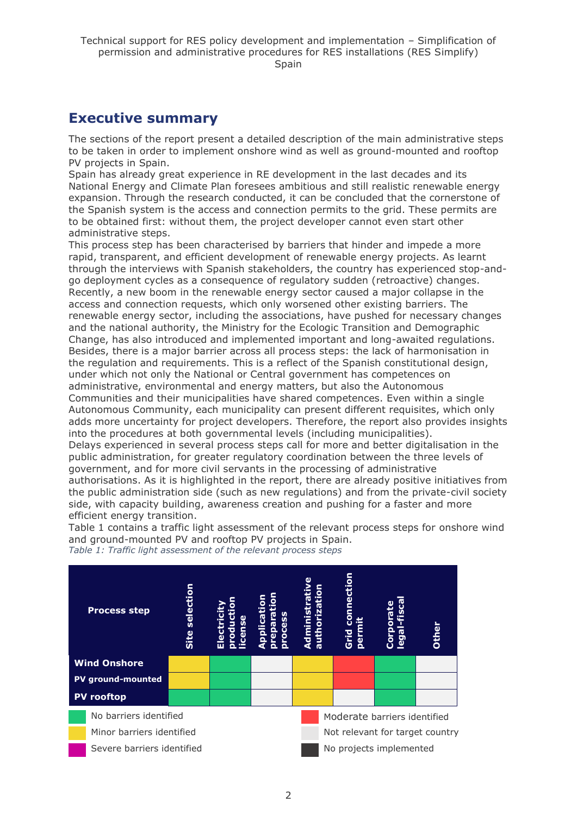## <span id="page-1-0"></span>**Executive summary**

The sections of the report present a detailed description of the main administrative steps to be taken in order to implement onshore wind as well as ground-mounted and rooftop PV projects in Spain.

Spain has already great experience in RE development in the last decades and its National Energy and Climate Plan foresees ambitious and still realistic renewable energy expansion. Through the research conducted, it can be concluded that the cornerstone of the Spanish system is the access and connection permits to the grid. These permits are to be obtained first: without them, the project developer cannot even start other administrative steps.

This process step has been characterised by barriers that hinder and impede a more rapid, transparent, and efficient development of renewable energy projects. As learnt through the interviews with Spanish stakeholders, the country has experienced stop-andgo deployment cycles as a consequence of regulatory sudden (retroactive) changes. Recently, a new boom in the renewable energy sector caused a major collapse in the access and connection requests, which only worsened other existing barriers. The renewable energy sector, including the associations, have pushed for necessary changes and the national authority, the Ministry for the Ecologic Transition and Demographic Change, has also introduced and implemented important and long-awaited regulations. Besides, there is a major barrier across all process steps: the lack of harmonisation in the regulation and requirements. This is a reflect of the Spanish constitutional design, under which not only the National or Central government has competences on administrative, environmental and energy matters, but also the Autonomous Communities and their municipalities have shared competences. Even within a single Autonomous Community, each municipality can present different requisites, which only adds more uncertainty for project developers. Therefore, the report also provides insights into the procedures at both governmental levels (including municipalities). Delays experienced in several process steps call for more and better digitalisation in the public administration, for greater regulatory coordination between the three levels of government, and for more civil servants in the processing of administrative authorisations. As it is highlighted in the report, there are already positive initiatives from the public administration side (such as new regulations) and from the private-civil society side, with capacity building, awareness creation and pushing for a faster and more efficient energy transition.

Table 1 contains a traffic light assessment of the relevant process steps for onshore wind and ground-mounted PV and rooftop PV projects in Spain.

*Table 1: Traffic light assessment of the relevant process steps*

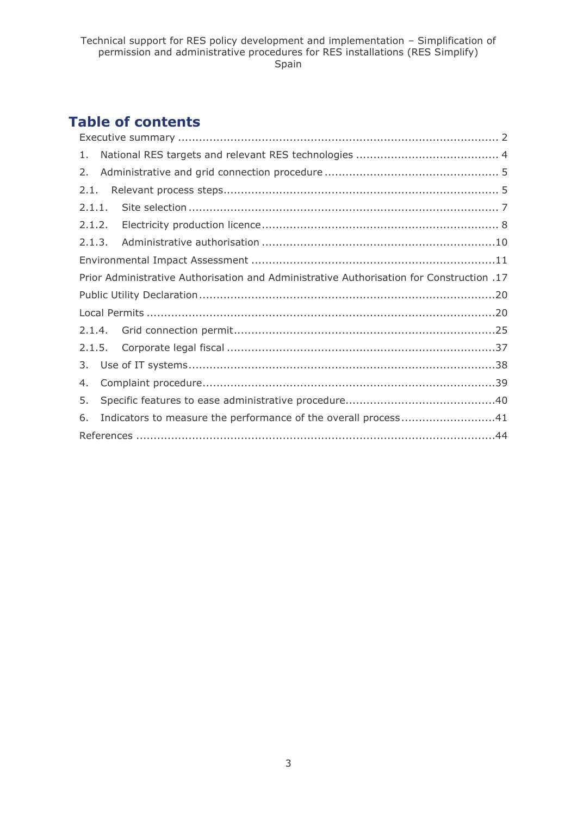## **Table of contents**

| 1.     |                                                                |                                                                                          |  |
|--------|----------------------------------------------------------------|------------------------------------------------------------------------------------------|--|
| 2.     |                                                                |                                                                                          |  |
| 2.1.   |                                                                |                                                                                          |  |
|        | 2.1.1.                                                         |                                                                                          |  |
| 2.1.2. |                                                                |                                                                                          |  |
| 2.1.3. |                                                                |                                                                                          |  |
|        |                                                                |                                                                                          |  |
|        |                                                                | Prior Administrative Authorisation and Administrative Authorisation for Construction .17 |  |
|        |                                                                |                                                                                          |  |
|        |                                                                |                                                                                          |  |
|        |                                                                |                                                                                          |  |
|        |                                                                |                                                                                          |  |
| 3.     |                                                                |                                                                                          |  |
| 4.     |                                                                |                                                                                          |  |
| 5.     |                                                                |                                                                                          |  |
| 6.     | Indicators to measure the performance of the overall process41 |                                                                                          |  |
|        |                                                                |                                                                                          |  |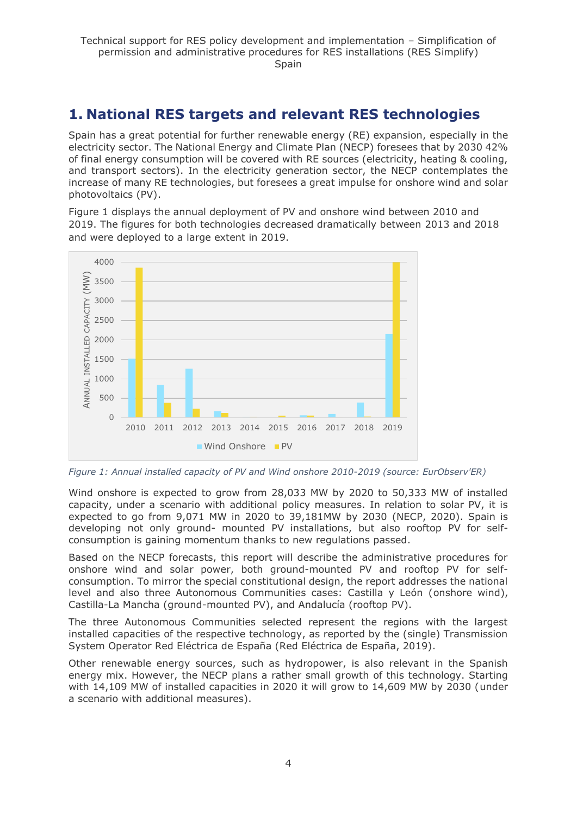## <span id="page-3-0"></span>**1. National RES targets and relevant RES technologies**

Spain has a great potential for further renewable energy (RE) expansion, especially in the electricity sector. The National Energy and Climate Plan (NECP) foresees that by 2030 42% of final energy consumption will be covered with RE sources (electricity, heating & cooling, and transport sectors). In the electricity generation sector, the NECP contemplates the increase of many RE technologies, but foresees a great impulse for onshore wind and solar photovoltaics (PV).

Figure 1 displays the annual deployment of PV and onshore wind between 2010 and 2019. The figures for both technologies decreased dramatically between 2013 and 2018 and were deployed to a large extent in 2019.



*Figure 1: Annual installed capacity of PV and Wind onshore 2010-2019 (source: EurObserv'ER)*

Wind onshore is expected to grow from 28,033 MW by 2020 to 50,333 MW of installed capacity, under a scenario with additional policy measures. In relation to solar PV, it is expected to go from 9,071 MW in 2020 to 39,181MW by 2030 (NECP, 2020). Spain is developing not only ground- mounted PV installations, but also rooftop PV for selfconsumption is gaining momentum thanks to new regulations passed.

Based on the NECP forecasts, this report will describe the administrative procedures for onshore wind and solar power, both ground-mounted PV and rooftop PV for selfconsumption. To mirror the special constitutional design, the report addresses the national level and also three Autonomous Communities cases: Castilla y León (onshore wind), Castilla-La Mancha (ground-mounted PV), and Andalucía (rooftop PV).

The three Autonomous Communities selected represent the regions with the largest installed capacities of the respective technology, as reported by the (single) Transmission System Operator Red Eléctrica de España (Red Eléctrica de España, 2019).

Other renewable energy sources, such as hydropower, is also relevant in the Spanish energy mix. However, the NECP plans a rather small growth of this technology. Starting with 14,109 MW of installed capacities in 2020 it will grow to 14,609 MW by 2030 (under a scenario with additional measures).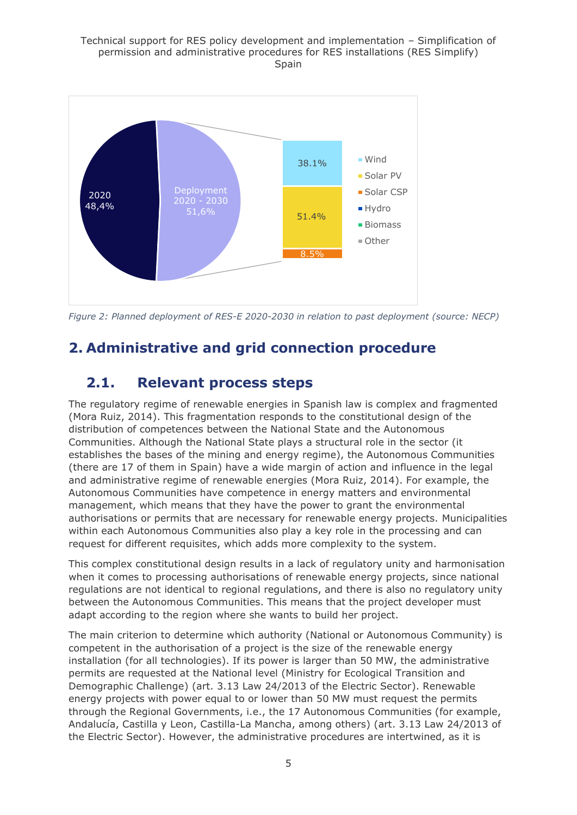

*Figure 2: Planned deployment of RES-E 2020-2030 in relation to past deployment (source: NECP)*

## <span id="page-4-0"></span>**2. Administrative and grid connection procedure**

## <span id="page-4-1"></span>**2.1. Relevant process steps**

The regulatory regime of renewable energies in Spanish law is complex and fragmented (Mora Ruiz, 2014). This fragmentation responds to the constitutional design of the distribution of competences between the National State and the Autonomous Communities. Although the National State plays a structural role in the sector (it establishes the bases of the mining and energy regime), the Autonomous Communities (there are 17 of them in Spain) have a wide margin of action and influence in the legal and administrative regime of renewable energies (Mora Ruiz, 2014). For example, the Autonomous Communities have competence in energy matters and environmental management, which means that they have the power to grant the environmental authorisations or permits that are necessary for renewable energy projects. Municipalities within each Autonomous Communities also play a key role in the processing and can request for different requisites, which adds more complexity to the system.

This complex constitutional design results in a lack of regulatory unity and harmonisation when it comes to processing authorisations of renewable energy projects, since national regulations are not identical to regional regulations, and there is also no regulatory unity between the Autonomous Communities. This means that the project developer must adapt according to the region where she wants to build her project.

The main criterion to determine which authority (National or Autonomous Community) is competent in the authorisation of a project is the size of the renewable energy installation (for all technologies). If its power is larger than 50 MW, the administrative permits are requested at the National level (Ministry for Ecological Transition and Demographic Challenge) (art. 3.13 Law 24/2013 of the Electric Sector). Renewable energy projects with power equal to or lower than 50 MW must request the permits through the Regional Governments, i.e., the 17 Autonomous Communities (for example, Andalucía, Castilla y Leon, Castilla-La Mancha, among others) (art. 3.13 Law 24/2013 of the Electric Sector). However, the administrative procedures are intertwined, as it is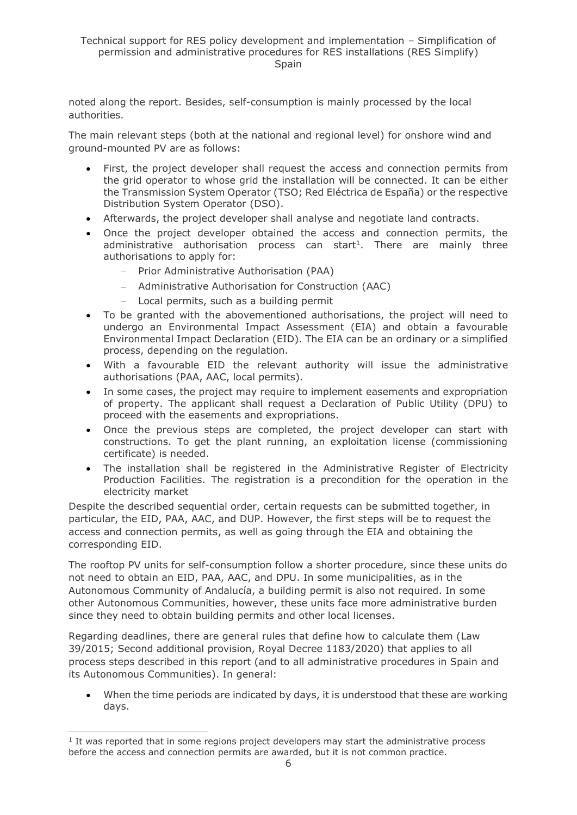noted along the report. Besides, self-consumption is mainly processed by the local authorities.

The main relevant steps (both at the national and regional level) for onshore wind and ground-mounted PV are as follows:

- First, the project developer shall request the access and connection permits from the grid operator to whose grid the installation will be connected. It can be either the Transmission System Operator (TSO; Red Eléctrica de España) or the respective Distribution System Operator (DSO).
- Afterwards, the project developer shall analyse and negotiate land contracts.
- Once the project developer obtained the access and connection permits, the administrative authorisation process can start<sup>1</sup>. There are mainly three authorisations to apply for:
	- − Prior Administrative Authorisation (PAA)
	- − Administrative Authorisation for Construction (AAC)
	- − Local permits, such as a building permit
- To be granted with the abovementioned authorisations, the project will need to undergo an Environmental Impact Assessment (EIA) and obtain a favourable Environmental Impact Declaration (EID). The EIA can be an ordinary or a simplified process, depending on the regulation.
- With a favourable EID the relevant authority will issue the administrative authorisations (PAA, AAC, local permits).
- In some cases, the project may require to implement easements and expropriation of property. The applicant shall request a Declaration of Public Utility (DPU) to proceed with the easements and expropriations.
- Once the previous steps are completed, the project developer can start with constructions. To get the plant running, an exploitation license (commissioning certificate) is needed.
- The installation shall be registered in the Administrative Register of Electricity Production Facilities. The registration is a precondition for the operation in the electricity market

Despite the described sequential order, certain requests can be submitted together, in particular, the EID, PAA, AAC, and DUP. However, the first steps will be to request the access and connection permits, as well as going through the EIA and obtaining the corresponding EID.

The rooftop PV units for self-consumption follow a shorter procedure, since these units do not need to obtain an EID, PAA, AAC, and DPU. In some municipalities, as in the Autonomous Community of Andalucía, a building permit is also not required. In some other Autonomous Communities, however, these units face more administrative burden since they need to obtain building permits and other local licenses.

Regarding deadlines, there are general rules that define how to calculate them (Law 39/2015; Second additional provision, Royal Decree 1183/2020) that applies to all process steps described in this report (and to all administrative procedures in Spain and its Autonomous Communities). In general:

• When the time periods are indicated by days, it is understood that these are working days.

<sup>&</sup>lt;sup>1</sup> It was reported that in some regions project developers may start the administrative process before the access and connection permits are awarded, but it is not common practice.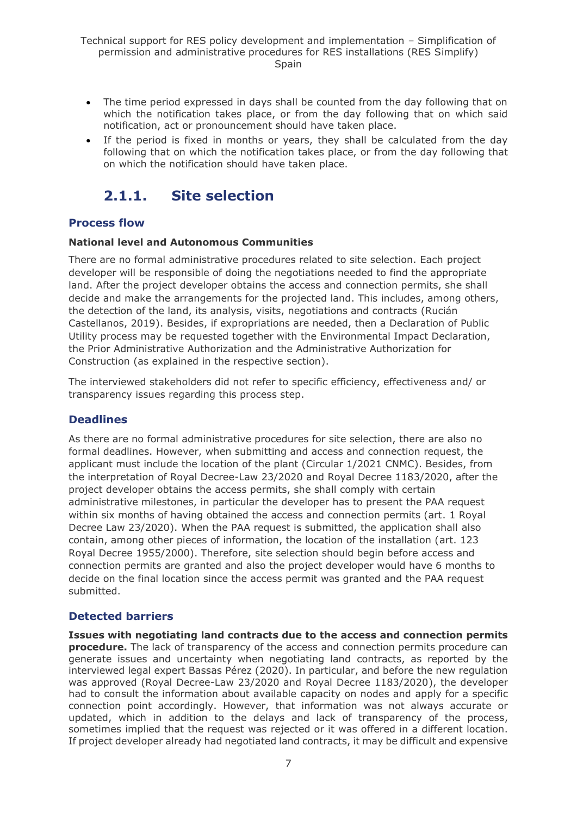- The time period expressed in days shall be counted from the day following that on which the notification takes place, or from the day following that on which said notification, act or pronouncement should have taken place.
- If the period is fixed in months or years, they shall be calculated from the day following that on which the notification takes place, or from the day following that on which the notification should have taken place.

## <span id="page-6-0"></span>**2.1.1. Site selection**

### **Process flow**

#### **National level and Autonomous Communities**

There are no formal administrative procedures related to site selection. Each project developer will be responsible of doing the negotiations needed to find the appropriate land. After the project developer obtains the access and connection permits, she shall decide and make the arrangements for the projected land. This includes, among others, the detection of the land, its analysis, visits, negotiations and contracts (Rucián Castellanos, 2019). Besides, if expropriations are needed, then a Declaration of Public Utility process may be requested together with the Environmental Impact Declaration, the Prior Administrative Authorization and the Administrative Authorization for Construction (as explained in the respective section).

The interviewed stakeholders did not refer to specific efficiency, effectiveness and/ or transparency issues regarding this process step.

### **Deadlines**

As there are no formal administrative procedures for site selection, there are also no formal deadlines. However, when submitting and access and connection request, the applicant must include the location of the plant (Circular 1/2021 CNMC). Besides, from the interpretation of Royal Decree-Law 23/2020 and Royal Decree 1183/2020, after the project developer obtains the access permits, she shall comply with certain administrative milestones, in particular the developer has to present the PAA request within six months of having obtained the access and connection permits (art. 1 Royal Decree Law 23/2020). When the PAA request is submitted, the application shall also contain, among other pieces of information, the location of the installation (art. 123 Royal Decree 1955/2000). Therefore, site selection should begin before access and connection permits are granted and also the project developer would have 6 months to decide on the final location since the access permit was granted and the PAA request submitted.

### **Detected barriers**

**Issues with negotiating land contracts due to the access and connection permits procedure.** The lack of transparency of the access and connection permits procedure can generate issues and uncertainty when negotiating land contracts, as reported by the interviewed legal expert Bassas Pérez (2020). In particular, and before the new regulation was approved (Royal Decree-Law 23/2020 and Royal Decree 1183/2020), the developer had to consult the information about available capacity on nodes and apply for a specific connection point accordingly. However, that information was not always accurate or updated, which in addition to the delays and lack of transparency of the process, sometimes implied that the request was rejected or it was offered in a different location. If project developer already had negotiated land contracts, it may be difficult and expensive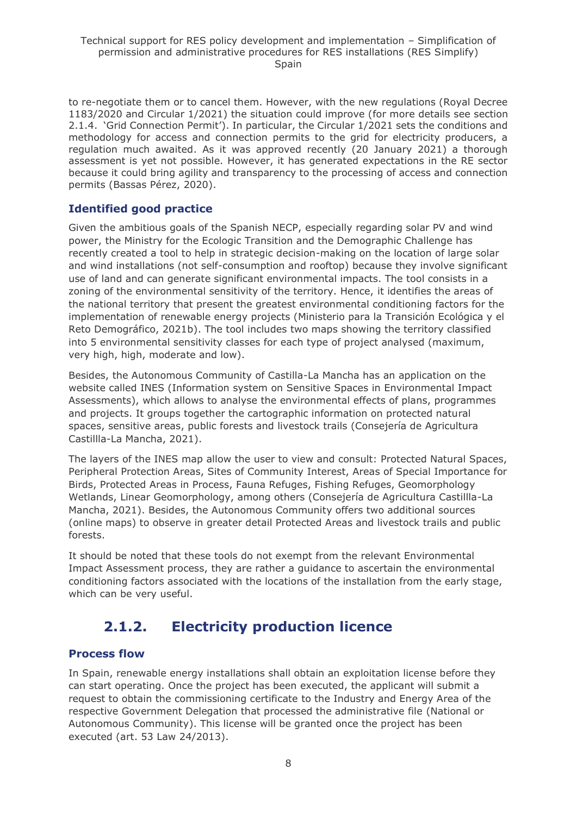to re-negotiate them or to cancel them. However, with the new regulations (Royal Decree 1183/2020 and Circular 1/2021) the situation could improve (for more details see section 2.1.4. 'Grid Connection Permit'). In particular, the Circular 1/2021 sets the conditions and methodology for access and connection permits to the grid for electricity producers, a regulation much awaited. As it was approved recently (20 January 2021) a thorough assessment is yet not possible. However, it has generated expectations in the RE sector because it could bring agility and transparency to the processing of access and connection permits (Bassas Pérez, 2020).

### **Identified good practice**

Given the ambitious goals of the Spanish NECP, especially regarding solar PV and wind power, the Ministry for the Ecologic Transition and the Demographic Challenge has recently created a tool to help in strategic decision-making on the location of large solar and wind installations (not self-consumption and rooftop) because they involve significant use of land and can generate significant environmental impacts. The tool consists in a zoning of the environmental sensitivity of the territory. Hence, it identifies the areas of the national territory that present the greatest environmental conditioning factors for the implementation of renewable energy projects (Ministerio para la Transición Ecológica y el Reto Demográfico, 2021b). The tool includes two maps showing the territory classified into 5 environmental sensitivity classes for each type of project analysed (maximum, very high, high, moderate and low).

Besides, the Autonomous Community of Castilla-La Mancha has an application on the website called INES (Information system on Sensitive Spaces in Environmental Impact Assessments), which allows to analyse the environmental effects of plans, programmes and projects. It groups together the cartographic information on protected natural spaces, sensitive areas, public forests and livestock trails (Consejería de Agricultura Castillla-La Mancha, 2021).

The layers of the INES map allow the user to view and consult: Protected Natural Spaces, Peripheral Protection Areas, Sites of Community Interest, Areas of Special Importance for Birds, Protected Areas in Process, Fauna Refuges, Fishing Refuges, Geomorphology Wetlands, Linear Geomorphology, among others (Consejería de Agricultura Castillla-La Mancha, 2021). Besides, the Autonomous Community offers two additional sources (online maps) to observe in greater detail Protected Areas and livestock trails and public forests.

It should be noted that these tools do not exempt from the relevant Environmental Impact Assessment process, they are rather a guidance to ascertain the environmental conditioning factors associated with the locations of the installation from the early stage, which can be very useful.

## **2.1.2. Electricity production licence**

### <span id="page-7-0"></span>**Process flow**

In Spain, renewable energy installations shall obtain an exploitation license before they can start operating. Once the project has been executed, the applicant will submit a request to obtain the commissioning certificate to the Industry and Energy Area of the respective Government Delegation that processed the administrative file (National or Autonomous Community). This license will be granted once the project has been executed (art. 53 Law 24/2013).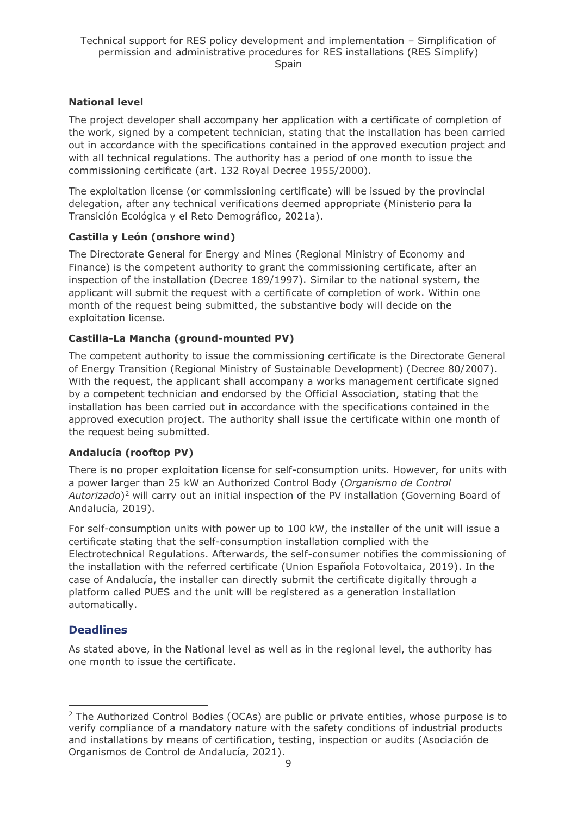### **National level**

The project developer shall accompany her application with a certificate of completion of the work, signed by a competent technician, stating that the installation has been carried out in accordance with the specifications contained in the approved execution project and with all technical regulations. The authority has a period of one month to issue the commissioning certificate (art. 132 Royal Decree 1955/2000).

The exploitation license (or commissioning certificate) will be issued by the provincial delegation, after any technical verifications deemed appropriate (Ministerio para la Transición Ecológica y el Reto Demográfico, 2021a).

### **Castilla y León (onshore wind)**

The Directorate General for Energy and Mines (Regional Ministry of Economy and Finance) is the competent authority to grant the commissioning certificate, after an inspection of the installation (Decree 189/1997). Similar to the national system, the applicant will submit the request with a certificate of completion of work. Within one month of the request being submitted, the substantive body will decide on the exploitation license.

### **Castilla-La Mancha (ground-mounted PV)**

The competent authority to issue the commissioning certificate is the Directorate General of Energy Transition (Regional Ministry of Sustainable Development) (Decree 80/2007). With the request, the applicant shall accompany a works management certificate signed by a competent technician and endorsed by the Official Association, stating that the installation has been carried out in accordance with the specifications contained in the approved execution project. The authority shall issue the certificate within one month of the request being submitted.

### **Andalucía (rooftop PV)**

There is no proper exploitation license for self-consumption units. However, for units with a power larger than 25 kW an Authorized Control Body (*Organismo de Control Autorizado*) <sup>2</sup> will carry out an initial inspection of the PV installation (Governing Board of Andalucía, 2019).

For self-consumption units with power up to 100 kW, the installer of the unit will issue a certificate stating that the self-consumption installation complied with the Electrotechnical Regulations. Afterwards, the self-consumer notifies the commissioning of the installation with the referred certificate (Union Española Fotovoltaica, 2019). In the case of Andalucía, the installer can directly submit the certificate digitally through a platform called PUES and the unit will be registered as a generation installation automatically.

### **Deadlines**

As stated above, in the National level as well as in the regional level, the authority has one month to issue the certificate.

 $2$  The Authorized Control Bodies (OCAs) are public or private entities, whose purpose is to verify compliance of a mandatory nature with the safety conditions of industrial products and installations by means of certification, testing, inspection or audits (Asociación de Organismos de Control de Andalucía, 2021).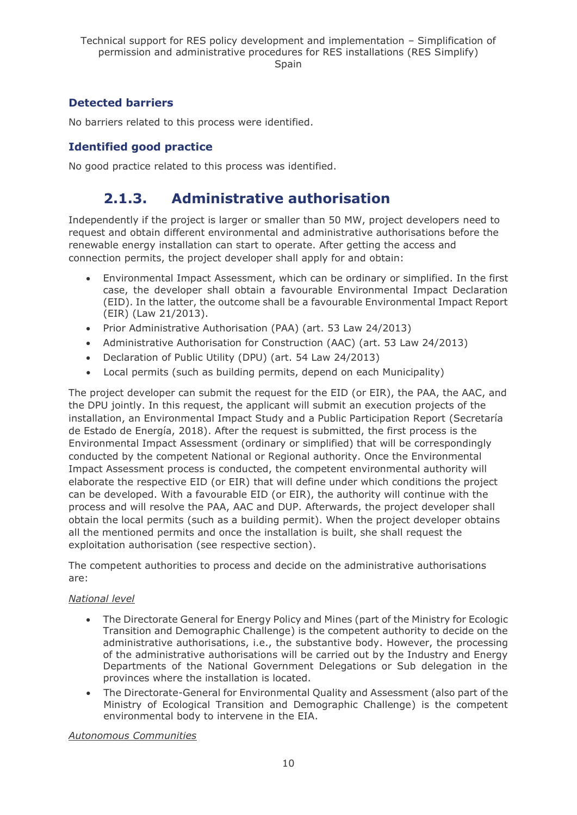### **Detected barriers**

No barriers related to this process were identified.

### **Identified good practice**

<span id="page-9-0"></span>No good practice related to this process was identified.

## **2.1.3. Administrative authorisation**

Independently if the project is larger or smaller than 50 MW, project developers need to request and obtain different environmental and administrative authorisations before the renewable energy installation can start to operate. After getting the access and connection permits, the project developer shall apply for and obtain:

- Environmental Impact Assessment, which can be ordinary or simplified. In the first case, the developer shall obtain a favourable Environmental Impact Declaration (EID). In the latter, the outcome shall be a favourable Environmental Impact Report (EIR) (Law 21/2013).
- Prior Administrative Authorisation (PAA) (art. 53 Law 24/2013)
- Administrative Authorisation for Construction (AAC) (art. 53 Law 24/2013)
- Declaration of Public Utility (DPU) (art. 54 Law 24/2013)
- Local permits (such as building permits, depend on each Municipality)

The project developer can submit the request for the EID (or EIR), the PAA, the AAC, and the DPU jointly. In this request, the applicant will submit an execution projects of the installation, an Environmental Impact Study and a Public Participation Report (Secretaría de Estado de Energía, 2018). After the request is submitted, the first process is the Environmental Impact Assessment (ordinary or simplified) that will be correspondingly conducted by the competent National or Regional authority. Once the Environmental Impact Assessment process is conducted, the competent environmental authority will elaborate the respective EID (or EIR) that will define under which conditions the project can be developed. With a favourable EID (or EIR), the authority will continue with the process and will resolve the PAA, AAC and DUP. Afterwards, the project developer shall obtain the local permits (such as a building permit). When the project developer obtains all the mentioned permits and once the installation is built, she shall request the exploitation authorisation (see respective section).

The competent authorities to process and decide on the administrative authorisations are:

#### *National level*

- The Directorate General for Energy Policy and Mines (part of the Ministry for Ecologic Transition and Demographic Challenge) is the competent authority to decide on the administrative authorisations, i.e., the substantive body. However, the processing of the administrative authorisations will be carried out by the Industry and Energy Departments of the National Government Delegations or Sub delegation in the provinces where the installation is located.
- The Directorate-General for Environmental Quality and Assessment (also part of the Ministry of Ecological Transition and Demographic Challenge) is the competent environmental body to intervene in the EIA.

*Autonomous Communities*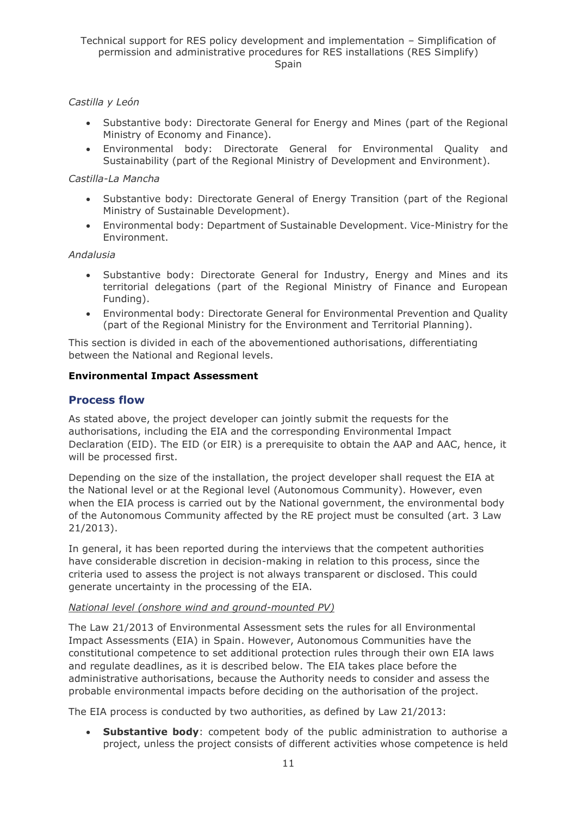#### *Castilla y León*

- Substantive body: Directorate General for Energy and Mines (part of the Regional Ministry of Economy and Finance).
- Environmental body: Directorate General for Environmental Quality and Sustainability (part of the Regional Ministry of Development and Environment).

#### *Castilla-La Mancha*

- Substantive body: Directorate General of Energy Transition (part of the Regional Ministry of Sustainable Development).
- Environmental body: Department of Sustainable Development. Vice-Ministry for the Environment.

#### *Andalusia*

- Substantive body: Directorate General for Industry, Energy and Mines and its territorial delegations (part of the Regional Ministry of Finance and European Funding).
- Environmental body: Directorate General for Environmental Prevention and Quality (part of the Regional Ministry for the Environment and Territorial Planning).

This section is divided in each of the abovementioned authorisations, differentiating between the National and Regional levels.

#### <span id="page-10-0"></span>**Environmental Impact Assessment**

#### **Process flow**

As stated above, the project developer can jointly submit the requests for the authorisations, including the EIA and the corresponding Environmental Impact Declaration (EID). The EID (or EIR) is a prerequisite to obtain the AAP and AAC, hence, it will be processed first.

Depending on the size of the installation, the project developer shall request the EIA at the National level or at the Regional level (Autonomous Community). However, even when the EIA process is carried out by the National government, the environmental body of the Autonomous Community affected by the RE project must be consulted (art. 3 Law 21/2013).

In general, it has been reported during the interviews that the competent authorities have considerable discretion in decision-making in relation to this process, since the criteria used to assess the project is not always transparent or disclosed. This could generate uncertainty in the processing of the EIA.

#### *National level (onshore wind and ground-mounted PV)*

The Law 21/2013 of Environmental Assessment sets the rules for all Environmental Impact Assessments (EIA) in Spain. However, Autonomous Communities have the constitutional competence to set additional protection rules through their own EIA laws and regulate deadlines, as it is described below. The EIA takes place before the administrative authorisations, because the Authority needs to consider and assess the probable environmental impacts before deciding on the authorisation of the project.

The EIA process is conducted by two authorities, as defined by Law 21/2013:

• **Substantive body**: competent body of the public administration to authorise a project, unless the project consists of different activities whose competence is held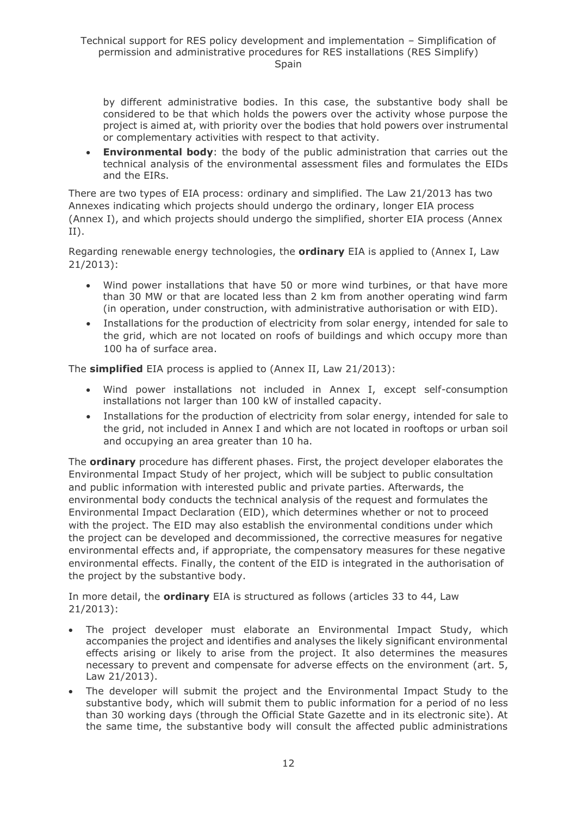by different administrative bodies. In this case, the substantive body shall be considered to be that which holds the powers over the activity whose purpose the project is aimed at, with priority over the bodies that hold powers over instrumental or complementary activities with respect to that activity.

• **Environmental body**: the body of the public administration that carries out the technical analysis of the environmental assessment files and formulates the EIDs and the EIRs.

There are two types of EIA process: ordinary and simplified. The Law 21/2013 has two Annexes indicating which projects should undergo the ordinary, longer EIA process (Annex I), and which projects should undergo the simplified, shorter EIA process (Annex II).

Regarding renewable energy technologies, the **ordinary** EIA is applied to (Annex I, Law 21/2013):

- Wind power installations that have 50 or more wind turbines, or that have more than 30 MW or that are located less than 2 km from another operating wind farm (in operation, under construction, with administrative authorisation or with EID).
- Installations for the production of electricity from solar energy, intended for sale to the grid, which are not located on roofs of buildings and which occupy more than 100 ha of surface area.

The **simplified** EIA process is applied to (Annex II, Law 21/2013):

- Wind power installations not included in Annex I, except self-consumption installations not larger than 100 kW of installed capacity.
- Installations for the production of electricity from solar energy, intended for sale to the grid, not included in Annex I and which are not located in rooftops or urban soil and occupying an area greater than 10 ha.

The **ordinary** procedure has different phases. First, the project developer elaborates the Environmental Impact Study of her project, which will be subject to public consultation and public information with interested public and private parties. Afterwards, the environmental body conducts the technical analysis of the request and formulates the Environmental Impact Declaration (EID), which determines whether or not to proceed with the project. The EID may also establish the environmental conditions under which the project can be developed and decommissioned, the corrective measures for negative environmental effects and, if appropriate, the compensatory measures for these negative environmental effects. Finally, the content of the EID is integrated in the authorisation of the project by the substantive body.

In more detail, the **ordinary** EIA is structured as follows (articles 33 to 44, Law 21/2013):

- The project developer must elaborate an Environmental Impact Study, which accompanies the project and identifies and analyses the likely significant environmental effects arising or likely to arise from the project. It also determines the measures necessary to prevent and compensate for adverse effects on the environment (art. 5, Law 21/2013).
- The developer will submit the project and the Environmental Impact Study to the substantive body, which will submit them to public information for a period of no less than 30 working days (through the Official State Gazette and in its electronic site). At the same time, the substantive body will consult the affected public administrations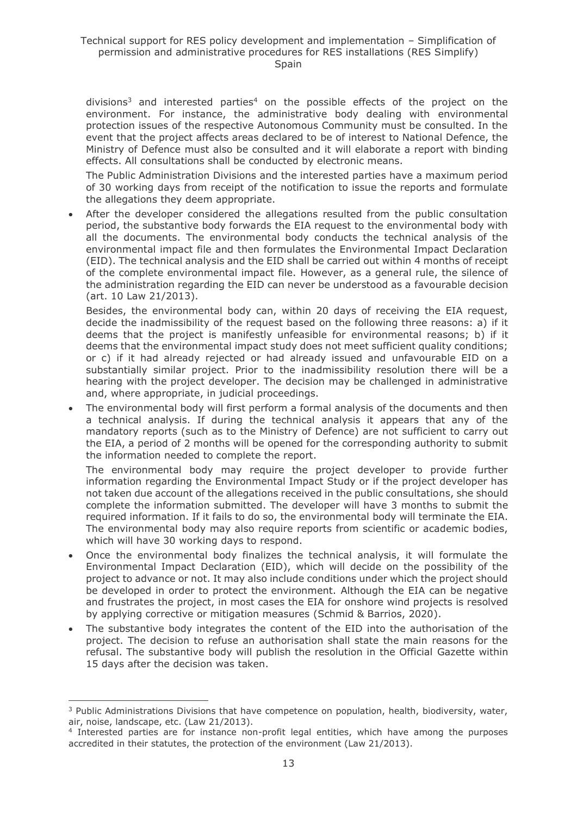divisions<sup>3</sup> and interested parties<sup>4</sup> on the possible effects of the project on the environment. For instance, the administrative body dealing with environmental protection issues of the respective Autonomous Community must be consulted. In the event that the project affects areas declared to be of interest to National Defence, the Ministry of Defence must also be consulted and it will elaborate a report with binding effects. All consultations shall be conducted by electronic means.

The Public Administration Divisions and the interested parties have a maximum period of 30 working days from receipt of the notification to issue the reports and formulate the allegations they deem appropriate.

After the developer considered the allegations resulted from the public consultation period, the substantive body forwards the EIA request to the environmental body with all the documents. The environmental body conducts the technical analysis of the environmental impact file and then formulates the Environmental Impact Declaration (EID). The technical analysis and the EID shall be carried out within 4 months of receipt of the complete environmental impact file. However, as a general rule, the silence of the administration regarding the EID can never be understood as a favourable decision (art. 10 Law 21/2013).

Besides, the environmental body can, within 20 days of receiving the EIA request, decide the inadmissibility of the request based on the following three reasons: a) if it deems that the project is manifestly unfeasible for environmental reasons; b) if it deems that the environmental impact study does not meet sufficient quality conditions; or c) if it had already rejected or had already issued and unfavourable EID on a substantially similar project. Prior to the inadmissibility resolution there will be a hearing with the project developer. The decision may be challenged in administrative and, where appropriate, in judicial proceedings.

The environmental body will first perform a formal analysis of the documents and then a technical analysis. If during the technical analysis it appears that any of the mandatory reports (such as to the Ministry of Defence) are not sufficient to carry out the EIA, a period of 2 months will be opened for the corresponding authority to submit the information needed to complete the report.

The environmental body may require the project developer to provide further information regarding the Environmental Impact Study or if the project developer has not taken due account of the allegations received in the public consultations, she should complete the information submitted. The developer will have 3 months to submit the required information. If it fails to do so, the environmental body will terminate the EIA. The environmental body may also require reports from scientific or academic bodies, which will have 30 working days to respond.

- Once the environmental body finalizes the technical analysis, it will formulate the Environmental Impact Declaration (EID), which will decide on the possibility of the project to advance or not. It may also include conditions under which the project should be developed in order to protect the environment. Although the EIA can be negative and frustrates the project, in most cases the EIA for onshore wind projects is resolved by applying corrective or mitigation measures (Schmid & Barrios, 2020).
- The substantive body integrates the content of the EID into the authorisation of the project. The decision to refuse an authorisation shall state the main reasons for the refusal. The substantive body will publish the resolution in the Official Gazette within 15 days after the decision was taken.

<sup>&</sup>lt;sup>3</sup> Public Administrations Divisions that have competence on population, health, biodiversity, water, air, noise, landscape, etc. (Law 21/2013).

<sup>4</sup> Interested parties are for instance non-profit legal entities, which have among the purposes accredited in their statutes, the protection of the environment (Law 21/2013).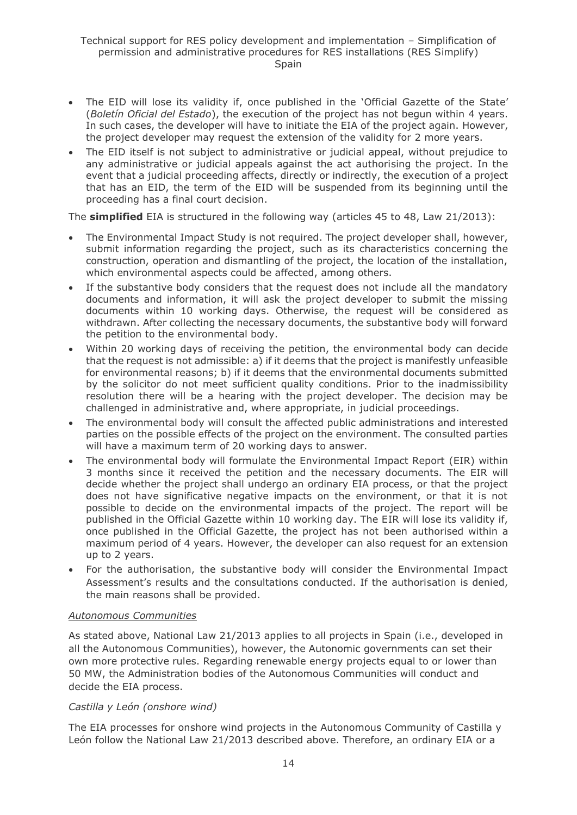- The EID will lose its validity if, once published in the 'Official Gazette of the State' (*Boletín Oficial del Estado*), the execution of the project has not begun within 4 years. In such cases, the developer will have to initiate the EIA of the project again. However, the project developer may request the extension of the validity for 2 more years.
- The EID itself is not subject to administrative or judicial appeal, without prejudice to any administrative or judicial appeals against the act authorising the project. In the event that a judicial proceeding affects, directly or indirectly, the execution of a project that has an EID, the term of the EID will be suspended from its beginning until the proceeding has a final court decision.

The **simplified** EIA is structured in the following way (articles 45 to 48, Law 21/2013):

- The Environmental Impact Study is not required. The project developer shall, however, submit information regarding the project, such as its characteristics concerning the construction, operation and dismantling of the project, the location of the installation, which environmental aspects could be affected, among others.
- If the substantive body considers that the request does not include all the mandatory documents and information, it will ask the project developer to submit the missing documents within 10 working days. Otherwise, the request will be considered as withdrawn. After collecting the necessary documents, the substantive body will forward the petition to the environmental body.
- Within 20 working days of receiving the petition, the environmental body can decide that the request is not admissible: a) if it deems that the project is manifestly unfeasible for environmental reasons; b) if it deems that the environmental documents submitted by the solicitor do not meet sufficient quality conditions. Prior to the inadmissibility resolution there will be a hearing with the project developer. The decision may be challenged in administrative and, where appropriate, in judicial proceedings.
- The environmental body will consult the affected public administrations and interested parties on the possible effects of the project on the environment. The consulted parties will have a maximum term of 20 working days to answer.
- The environmental body will formulate the Environmental Impact Report (EIR) within 3 months since it received the petition and the necessary documents. The EIR will decide whether the project shall undergo an ordinary EIA process, or that the project does not have significative negative impacts on the environment, or that it is not possible to decide on the environmental impacts of the project. The report will be published in the Official Gazette within 10 working day. The EIR will lose its validity if, once published in the Official Gazette, the project has not been authorised within a maximum period of 4 years. However, the developer can also request for an extension up to 2 years.
- For the authorisation, the substantive body will consider the Environmental Impact Assessment's results and the consultations conducted. If the authorisation is denied, the main reasons shall be provided.

#### *Autonomous Communities*

As stated above, National Law 21/2013 applies to all projects in Spain (i.e., developed in all the Autonomous Communities), however, the Autonomic governments can set their own more protective rules. Regarding renewable energy projects equal to or lower than 50 MW, the Administration bodies of the Autonomous Communities will conduct and decide the EIA process.

#### *Castilla y León (onshore wind)*

The EIA processes for onshore wind projects in the Autonomous Community of Castilla y León follow the National Law 21/2013 described above. Therefore, an ordinary EIA or a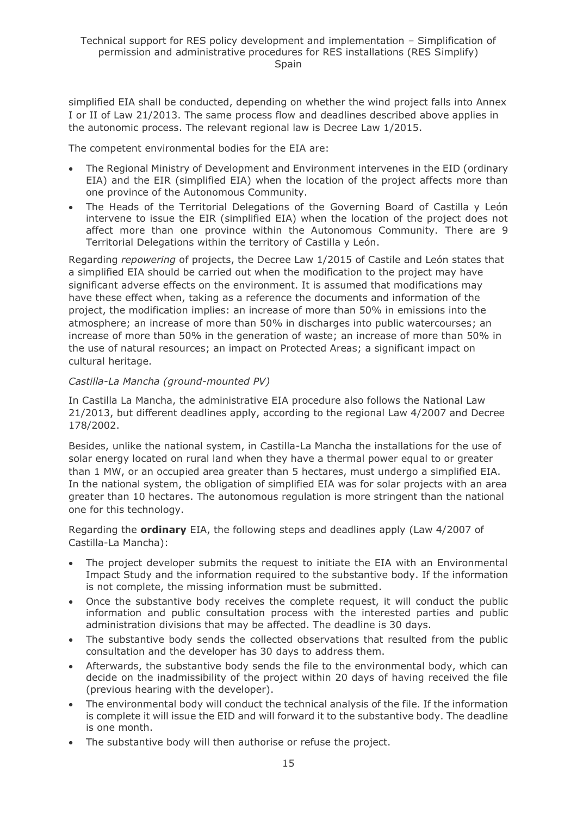simplified EIA shall be conducted, depending on whether the wind project falls into Annex I or II of Law 21/2013. The same process flow and deadlines described above applies in the autonomic process. The relevant regional law is Decree Law 1/2015.

The competent environmental bodies for the EIA are:

- The Regional Ministry of Development and Environment intervenes in the EID (ordinary EIA) and the EIR (simplified EIA) when the location of the project affects more than one province of the Autonomous Community.
- The Heads of the Territorial Delegations of the Governing Board of Castilla y León intervene to issue the EIR (simplified EIA) when the location of the project does not affect more than one province within the Autonomous Community. There are 9 Territorial Delegations within the territory of Castilla y León.

Regarding *repowering* of projects, the Decree Law 1/2015 of Castile and León states that a simplified EIA should be carried out when the modification to the project may have significant adverse effects on the environment. It is assumed that modifications may have these effect when, taking as a reference the documents and information of the project, the modification implies: an increase of more than 50% in emissions into the atmosphere; an increase of more than 50% in discharges into public watercourses; an increase of more than 50% in the generation of waste; an increase of more than 50% in the use of natural resources; an impact on Protected Areas; a significant impact on cultural heritage.

#### *Castilla-La Mancha (ground-mounted PV)*

In Castilla La Mancha, the administrative EIA procedure also follows the National Law 21/2013, but different deadlines apply, according to the regional Law 4/2007 and Decree 178/2002.

Besides, unlike the national system, in Castilla-La Mancha the installations for the use of solar energy located on rural land when they have a thermal power equal to or greater than 1 MW, or an occupied area greater than 5 hectares, must undergo a simplified EIA. In the national system, the obligation of simplified EIA was for solar projects with an area greater than 10 hectares. The autonomous regulation is more stringent than the national one for this technology.

Regarding the **ordinary** EIA, the following steps and deadlines apply (Law 4/2007 of Castilla-La Mancha):

- The project developer submits the request to initiate the EIA with an Environmental Impact Study and the information required to the substantive body. If the information is not complete, the missing information must be submitted.
- Once the substantive body receives the complete request, it will conduct the public information and public consultation process with the interested parties and public administration divisions that may be affected. The deadline is 30 days.
- The substantive body sends the collected observations that resulted from the public consultation and the developer has 30 days to address them.
- Afterwards, the substantive body sends the file to the environmental body, which can decide on the inadmissibility of the project within 20 days of having received the file (previous hearing with the developer).
- The environmental body will conduct the technical analysis of the file. If the information is complete it will issue the EID and will forward it to the substantive body. The deadline is one month.
- The substantive body will then authorise or refuse the project.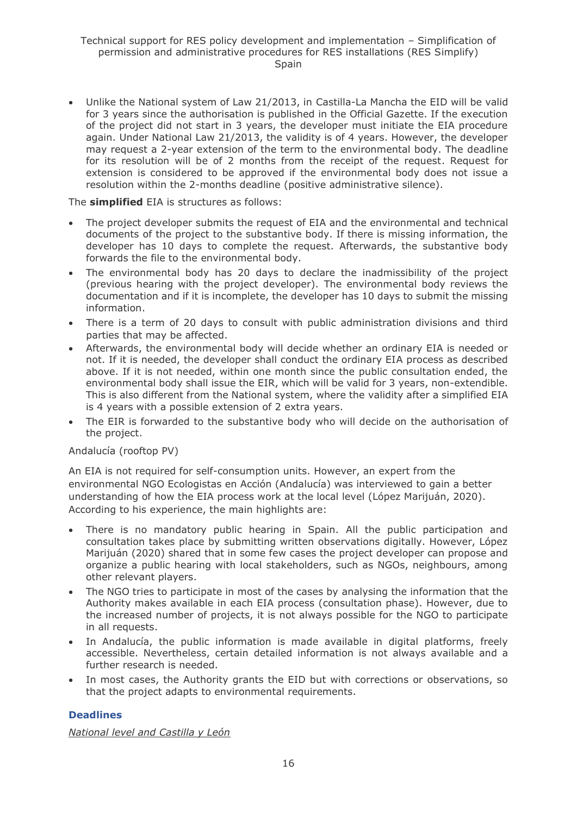• Unlike the National system of Law 21/2013, in Castilla-La Mancha the EID will be valid for 3 years since the authorisation is published in the Official Gazette. If the execution of the project did not start in 3 years, the developer must initiate the EIA procedure again. Under National Law 21/2013, the validity is of 4 years. However, the developer may request a 2-year extension of the term to the environmental body. The deadline for its resolution will be of 2 months from the receipt of the request. Request for extension is considered to be approved if the environmental body does not issue a resolution within the 2-months deadline (positive administrative silence).

#### The **simplified** EIA is structures as follows:

- The project developer submits the request of EIA and the environmental and technical documents of the project to the substantive body. If there is missing information, the developer has 10 days to complete the request. Afterwards, the substantive body forwards the file to the environmental body.
- The environmental body has 20 days to declare the inadmissibility of the project (previous hearing with the project developer). The environmental body reviews the documentation and if it is incomplete, the developer has 10 days to submit the missing information.
- There is a term of 20 days to consult with public administration divisions and third parties that may be affected.
- Afterwards, the environmental body will decide whether an ordinary EIA is needed or not. If it is needed, the developer shall conduct the ordinary EIA process as described above. If it is not needed, within one month since the public consultation ended, the environmental body shall issue the EIR, which will be valid for 3 years, non-extendible. This is also different from the National system, where the validity after a simplified EIA is 4 years with a possible extension of 2 extra years.
- The EIR is forwarded to the substantive body who will decide on the authorisation of the project.

#### Andalucía (rooftop PV)

An EIA is not required for self-consumption units. However, an expert from the environmental NGO Ecologistas en Acción (Andalucía) was interviewed to gain a better understanding of how the EIA process work at the local level (López Marijuán, 2020). According to his experience, the main highlights are:

- There is no mandatory public hearing in Spain. All the public participation and consultation takes place by submitting written observations digitally. However, López Marijuán (2020) shared that in some few cases the project developer can propose and organize a public hearing with local stakeholders, such as NGOs, neighbours, among other relevant players.
- The NGO tries to participate in most of the cases by analysing the information that the Authority makes available in each EIA process (consultation phase). However, due to the increased number of projects, it is not always possible for the NGO to participate in all requests.
- In Andalucía, the public information is made available in digital platforms, freely accessible. Nevertheless, certain detailed information is not always available and a further research is needed.
- In most cases, the Authority grants the EID but with corrections or observations, so that the project adapts to environmental requirements.

#### **Deadlines**

*National level and Castilla y León*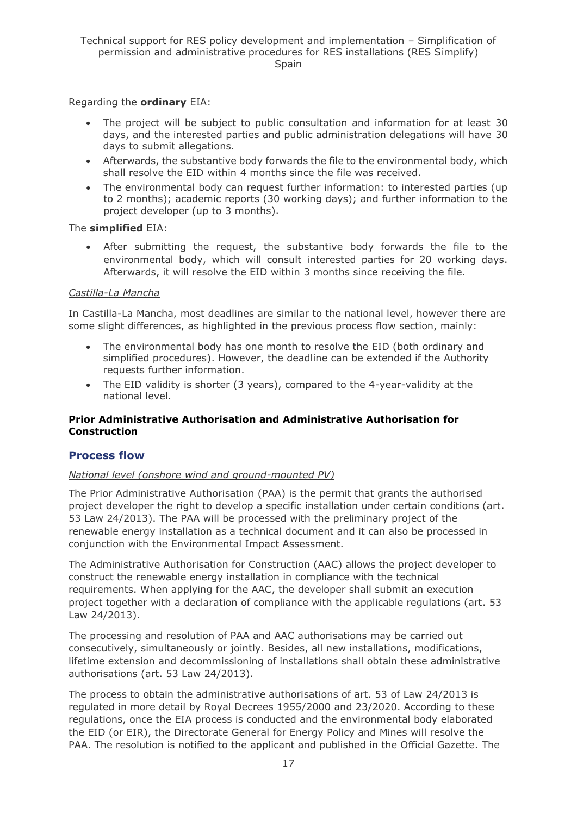Regarding the **ordinary** EIA:

- The project will be subject to public consultation and information for at least 30 days, and the interested parties and public administration delegations will have 30 days to submit allegations.
- Afterwards, the substantive body forwards the file to the environmental body, which shall resolve the EID within 4 months since the file was received.
- The environmental body can request further information: to interested parties (up to 2 months); academic reports (30 working days); and further information to the project developer (up to 3 months).

#### The **simplified** EIA:

• After submitting the request, the substantive body forwards the file to the environmental body, which will consult interested parties for 20 working days. Afterwards, it will resolve the EID within 3 months since receiving the file.

#### *Castilla-La Mancha*

In Castilla-La Mancha, most deadlines are similar to the national level, however there are some slight differences, as highlighted in the previous process flow section, mainly:

- The environmental body has one month to resolve the EID (both ordinary and simplified procedures). However, the deadline can be extended if the Authority requests further information.
- The EID validity is shorter (3 years), compared to the 4-year-validity at the national level.

#### <span id="page-16-0"></span>**Prior Administrative Authorisation and Administrative Authorisation for Construction**

#### **Process flow**

#### *National level (onshore wind and ground-mounted PV)*

The Prior Administrative Authorisation (PAA) is the permit that grants the authorised project developer the right to develop a specific installation under certain conditions (art. 53 Law 24/2013). The PAA will be processed with the preliminary project of the renewable energy installation as a technical document and it can also be processed in conjunction with the Environmental Impact Assessment.

The Administrative Authorisation for Construction (AAC) allows the project developer to construct the renewable energy installation in compliance with the technical requirements. When applying for the AAC, the developer shall submit an execution project together with a declaration of compliance with the applicable regulations (art. 53 Law 24/2013).

The processing and resolution of PAA and AAC authorisations may be carried out consecutively, simultaneously or jointly. Besides, all new installations, modifications, lifetime extension and decommissioning of installations shall obtain these administrative authorisations (art. 53 Law 24/2013).

The process to obtain the administrative authorisations of art. 53 of Law 24/2013 is regulated in more detail by Royal Decrees 1955/2000 and 23/2020. According to these regulations, once the EIA process is conducted and the environmental body elaborated the EID (or EIR), the Directorate General for Energy Policy and Mines will resolve the PAA. The resolution is notified to the applicant and published in the Official Gazette. The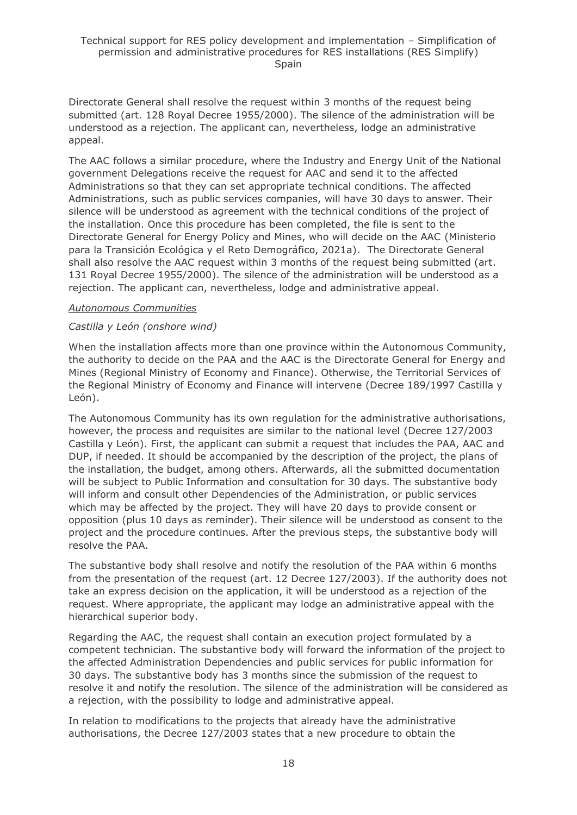Directorate General shall resolve the request within 3 months of the request being submitted (art. 128 Royal Decree 1955/2000). The silence of the administration will be understood as a rejection. The applicant can, nevertheless, lodge an administrative appeal.

The AAC follows a similar procedure, where the Industry and Energy Unit of the National government Delegations receive the request for AAC and send it to the affected Administrations so that they can set appropriate technical conditions. The affected Administrations, such as public services companies, will have 30 days to answer. Their silence will be understood as agreement with the technical conditions of the project of the installation. Once this procedure has been completed, the file is sent to the Directorate General for Energy Policy and Mines, who will decide on the AAC (Ministerio para la Transición Ecológica y el Reto Demográfico, 2021a). The Directorate General shall also resolve the AAC request within 3 months of the request being submitted (art. 131 Royal Decree 1955/2000). The silence of the administration will be understood as a rejection. The applicant can, nevertheless, lodge and administrative appeal.

#### *Autonomous Communities*

#### *Castilla y León (onshore wind)*

When the installation affects more than one province within the Autonomous Community, the authority to decide on the PAA and the AAC is the Directorate General for Energy and Mines (Regional Ministry of Economy and Finance). Otherwise, the Territorial Services of the Regional Ministry of Economy and Finance will intervene (Decree 189/1997 Castilla y León).

The Autonomous Community has its own regulation for the administrative authorisations, however, the process and requisites are similar to the national level (Decree 127/2003 Castilla y León). First, the applicant can submit a request that includes the PAA, AAC and DUP, if needed. It should be accompanied by the description of the project, the plans of the installation, the budget, among others. Afterwards, all the submitted documentation will be subject to Public Information and consultation for 30 days. The substantive body will inform and consult other Dependencies of the Administration, or public services which may be affected by the project. They will have 20 days to provide consent or opposition (plus 10 days as reminder). Their silence will be understood as consent to the project and the procedure continues. After the previous steps, the substantive body will resolve the PAA.

The substantive body shall resolve and notify the resolution of the PAA within 6 months from the presentation of the request (art. 12 Decree 127/2003). If the authority does not take an express decision on the application, it will be understood as a rejection of the request. Where appropriate, the applicant may lodge an administrative appeal with the hierarchical superior body.

Regarding the AAC, the request shall contain an execution project formulated by a competent technician. The substantive body will forward the information of the project to the affected Administration Dependencies and public services for public information for 30 days. The substantive body has 3 months since the submission of the request to resolve it and notify the resolution. The silence of the administration will be considered as a rejection, with the possibility to lodge and administrative appeal.

In relation to modifications to the projects that already have the administrative authorisations, the Decree 127/2003 states that a new procedure to obtain the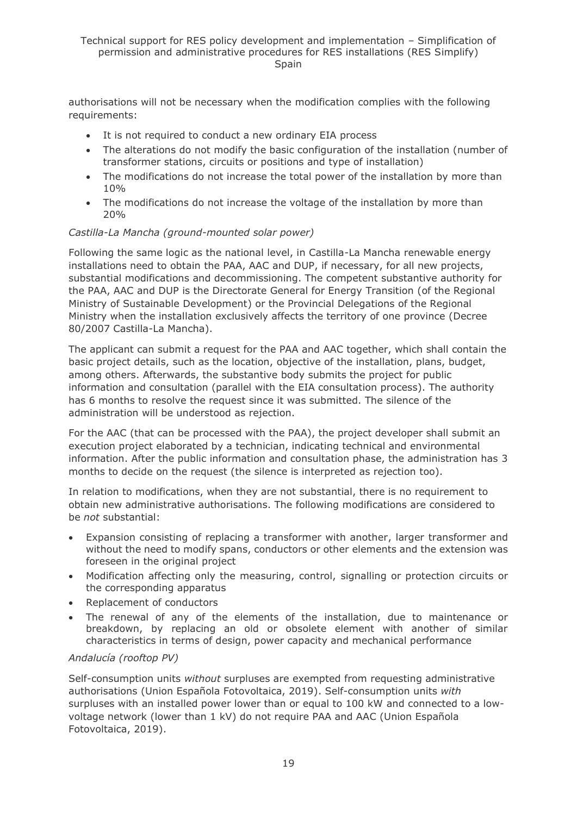authorisations will not be necessary when the modification complies with the following requirements:

- It is not required to conduct a new ordinary EIA process
- The alterations do not modify the basic configuration of the installation (number of transformer stations, circuits or positions and type of installation)
- The modifications do not increase the total power of the installation by more than 10%
- The modifications do not increase the voltage of the installation by more than 20%

#### *Castilla-La Mancha (ground-mounted solar power)*

Following the same logic as the national level, in Castilla-La Mancha renewable energy installations need to obtain the PAA, AAC and DUP, if necessary, for all new projects, substantial modifications and decommissioning. The competent substantive authority for the PAA, AAC and DUP is the Directorate General for Energy Transition (of the Regional Ministry of Sustainable Development) or the Provincial Delegations of the Regional Ministry when the installation exclusively affects the territory of one province (Decree 80/2007 Castilla-La Mancha).

The applicant can submit a request for the PAA and AAC together, which shall contain the basic project details, such as the location, objective of the installation, plans, budget, among others. Afterwards, the substantive body submits the project for public information and consultation (parallel with the EIA consultation process). The authority has 6 months to resolve the request since it was submitted. The silence of the administration will be understood as rejection.

For the AAC (that can be processed with the PAA), the project developer shall submit an execution project elaborated by a technician, indicating technical and environmental information. After the public information and consultation phase, the administration has 3 months to decide on the request (the silence is interpreted as rejection too).

In relation to modifications, when they are not substantial, there is no requirement to obtain new administrative authorisations. The following modifications are considered to be *not* substantial:

- Expansion consisting of replacing a transformer with another, larger transformer and without the need to modify spans, conductors or other elements and the extension was foreseen in the original project
- Modification affecting only the measuring, control, signalling or protection circuits or the corresponding apparatus
- Replacement of conductors
- The renewal of any of the elements of the installation, due to maintenance or breakdown, by replacing an old or obsolete element with another of similar characteristics in terms of design, power capacity and mechanical performance

#### *Andalucía (rooftop PV)*

Self-consumption units *without* surpluses are exempted from requesting administrative authorisations (Union Española Fotovoltaica, 2019). Self-consumption units *with* surpluses with an installed power lower than or equal to 100 kW and connected to a lowvoltage network (lower than 1 kV) do not require PAA and AAC (Union Española Fotovoltaica, 2019).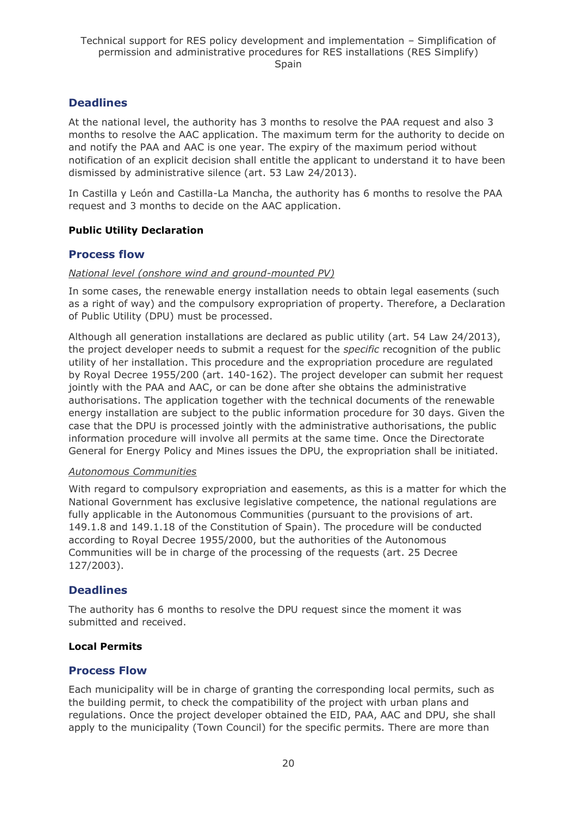### **Deadlines**

At the national level, the authority has 3 months to resolve the PAA request and also 3 months to resolve the AAC application. The maximum term for the authority to decide on and notify the PAA and AAC is one year. The expiry of the maximum period without notification of an explicit decision shall entitle the applicant to understand it to have been dismissed by administrative silence (art. 53 Law 24/2013).

In Castilla y León and Castilla-La Mancha, the authority has 6 months to resolve the PAA request and 3 months to decide on the AAC application.

#### <span id="page-19-0"></span>**Public Utility Declaration**

#### **Process flow**

#### *National level (onshore wind and ground-mounted PV)*

In some cases, the renewable energy installation needs to obtain legal easements (such as a right of way) and the compulsory expropriation of property. Therefore, a Declaration of Public Utility (DPU) must be processed.

Although all generation installations are declared as public utility (art. 54 Law 24/2013), the project developer needs to submit a request for the *specific* recognition of the public utility of her installation. This procedure and the expropriation procedure are regulated by Royal Decree 1955/200 (art. 140-162). The project developer can submit her request jointly with the PAA and AAC, or can be done after she obtains the administrative authorisations. The application together with the technical documents of the renewable energy installation are subject to the public information procedure for 30 days. Given the case that the DPU is processed jointly with the administrative authorisations, the public information procedure will involve all permits at the same time. Once the Directorate General for Energy Policy and Mines issues the DPU, the expropriation shall be initiated.

#### *Autonomous Communities*

With regard to compulsory expropriation and easements, as this is a matter for which the National Government has exclusive legislative competence, the national regulations are fully applicable in the Autonomous Communities (pursuant to the provisions of art. 149.1.8 and 149.1.18 of the Constitution of Spain). The procedure will be conducted according to Royal Decree 1955/2000, but the authorities of the Autonomous Communities will be in charge of the processing of the requests (art. 25 Decree 127/2003).

#### **Deadlines**

The authority has 6 months to resolve the DPU request since the moment it was submitted and received.

#### <span id="page-19-1"></span>**Local Permits**

#### **Process Flow**

Each municipality will be in charge of granting the corresponding local permits, such as the building permit, to check the compatibility of the project with urban plans and regulations. Once the project developer obtained the EID, PAA, AAC and DPU, she shall apply to the municipality (Town Council) for the specific permits. There are more than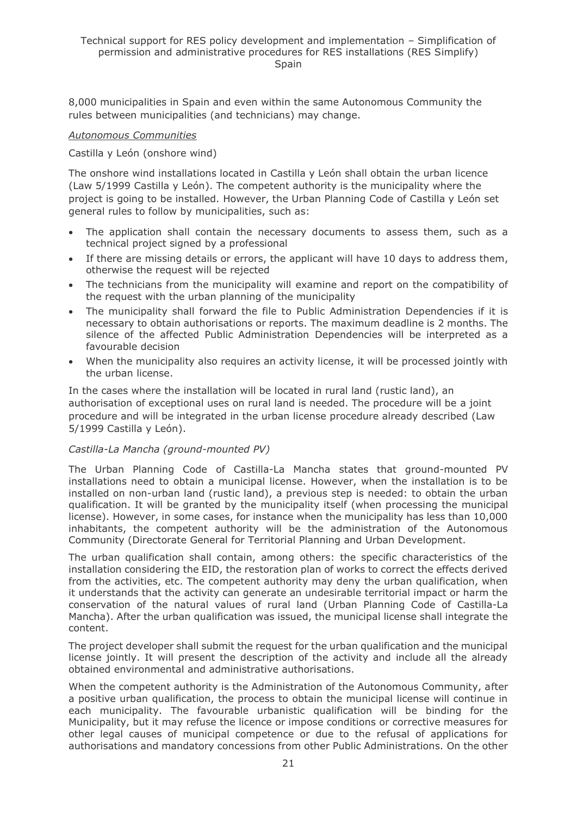8,000 municipalities in Spain and even within the same Autonomous Community the rules between municipalities (and technicians) may change.

#### *Autonomous Communities*

#### Castilla y León (onshore wind)

The onshore wind installations located in Castilla y León shall obtain the urban licence (Law 5/1999 Castilla y León). The competent authority is the municipality where the project is going to be installed. However, the Urban Planning Code of Castilla y León set general rules to follow by municipalities, such as:

- The application shall contain the necessary documents to assess them, such as a technical project signed by a professional
- If there are missing details or errors, the applicant will have 10 days to address them, otherwise the request will be rejected
- The technicians from the municipality will examine and report on the compatibility of the request with the urban planning of the municipality
- The municipality shall forward the file to Public Administration Dependencies if it is necessary to obtain authorisations or reports. The maximum deadline is 2 months. The silence of the affected Public Administration Dependencies will be interpreted as a favourable decision
- When the municipality also requires an activity license, it will be processed jointly with the urban license.

In the cases where the installation will be located in rural land (rustic land), an authorisation of exceptional uses on rural land is needed. The procedure will be a joint procedure and will be integrated in the urban license procedure already described (Law 5/1999 Castilla y León).

#### *Castilla-La Mancha (ground-mounted PV)*

The Urban Planning Code of Castilla-La Mancha states that ground-mounted PV installations need to obtain a municipal license. However, when the installation is to be installed on non-urban land (rustic land), a previous step is needed: to obtain the urban qualification. It will be granted by the municipality itself (when processing the municipal license). However, in some cases, for instance when the municipality has less than 10,000 inhabitants, the competent authority will be the administration of the Autonomous Community (Directorate General for Territorial Planning and Urban Development.

The urban qualification shall contain, among others: the specific characteristics of the installation considering the EID, the restoration plan of works to correct the effects derived from the activities, etc. The competent authority may deny the urban qualification, when it understands that the activity can generate an undesirable territorial impact or harm the conservation of the natural values of rural land (Urban Planning Code of Castilla-La Mancha). After the urban qualification was issued, the municipal license shall integrate the content.

The project developer shall submit the request for the urban qualification and the municipal license jointly. It will present the description of the activity and include all the already obtained environmental and administrative authorisations.

When the competent authority is the Administration of the Autonomous Community, after a positive urban qualification, the process to obtain the municipal license will continue in each municipality. The favourable urbanistic qualification will be binding for the Municipality, but it may refuse the licence or impose conditions or corrective measures for other legal causes of municipal competence or due to the refusal of applications for authorisations and mandatory concessions from other Public Administrations. On the other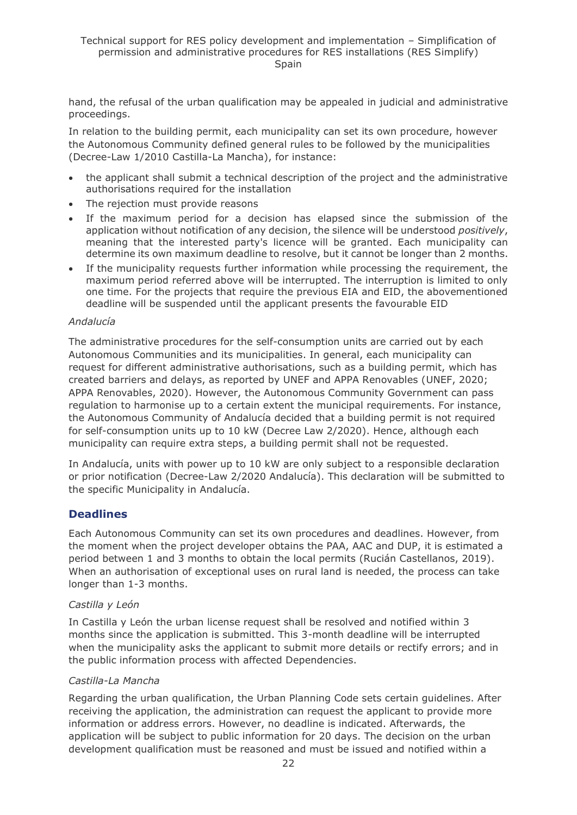hand, the refusal of the urban qualification may be appealed in judicial and administrative proceedings.

In relation to the building permit, each municipality can set its own procedure, however the Autonomous Community defined general rules to be followed by the municipalities (Decree-Law 1/2010 Castilla-La Mancha), for instance:

- the applicant shall submit a technical description of the project and the administrative authorisations required for the installation
- The rejection must provide reasons
- If the maximum period for a decision has elapsed since the submission of the application without notification of any decision, the silence will be understood *positively*, meaning that the interested party's licence will be granted. Each municipality can determine its own maximum deadline to resolve, but it cannot be longer than 2 months.
- If the municipality requests further information while processing the requirement, the maximum period referred above will be interrupted. The interruption is limited to only one time. For the projects that require the previous EIA and EID, the abovementioned deadline will be suspended until the applicant presents the favourable EID

#### *Andalucía*

The administrative procedures for the self-consumption units are carried out by each Autonomous Communities and its municipalities. In general, each municipality can request for different administrative authorisations, such as a building permit, which has created barriers and delays, as reported by UNEF and APPA Renovables (UNEF, 2020; APPA Renovables, 2020). However, the Autonomous Community Government can pass regulation to harmonise up to a certain extent the municipal requirements. For instance, the Autonomous Community of Andalucía decided that a building permit is not required for self-consumption units up to 10 kW (Decree Law 2/2020). Hence, although each municipality can require extra steps, a building permit shall not be requested.

In Andalucía, units with power up to 10 kW are only subject to a responsible declaration or prior notification (Decree-Law 2/2020 Andalucía). This declaration will be submitted to the specific Municipality in Andalucía.

### **Deadlines**

Each Autonomous Community can set its own procedures and deadlines. However, from the moment when the project developer obtains the PAA, AAC and DUP, it is estimated a period between 1 and 3 months to obtain the local permits (Rucián Castellanos, 2019). When an authorisation of exceptional uses on rural land is needed, the process can take longer than 1-3 months.

#### *Castilla y León*

In Castilla y León the urban license request shall be resolved and notified within 3 months since the application is submitted. This 3-month deadline will be interrupted when the municipality asks the applicant to submit more details or rectify errors; and in the public information process with affected Dependencies.

#### *Castilla-La Mancha*

Regarding the urban qualification, the Urban Planning Code sets certain guidelines. After receiving the application, the administration can request the applicant to provide more information or address errors. However, no deadline is indicated. Afterwards, the application will be subject to public information for 20 days. The decision on the urban development qualification must be reasoned and must be issued and notified within a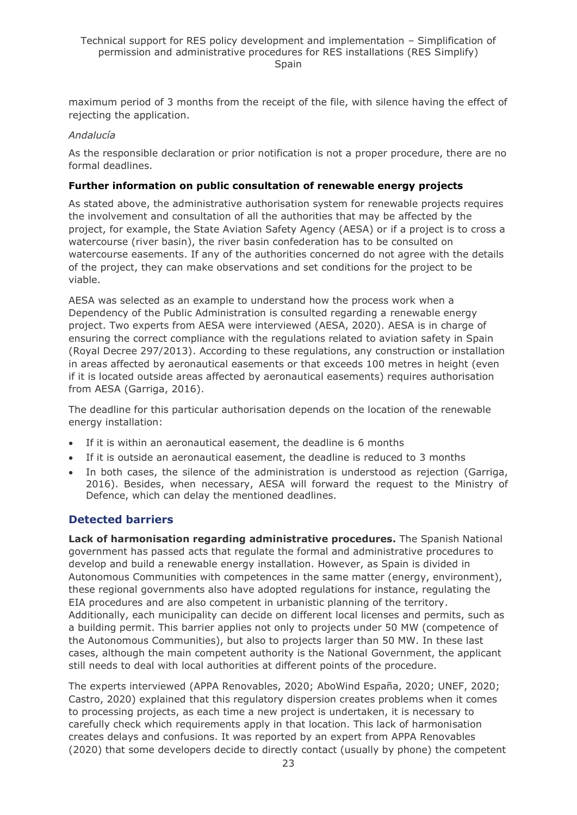maximum period of 3 months from the receipt of the file, with silence having the effect of rejecting the application.

#### *Andalucía*

As the responsible declaration or prior notification is not a proper procedure, there are no formal deadlines.

#### **Further information on public consultation of renewable energy projects**

As stated above, the administrative authorisation system for renewable projects requires the involvement and consultation of all the authorities that may be affected by the project, for example, the State Aviation Safety Agency (AESA) or if a project is to cross a watercourse (river basin), the river basin confederation has to be consulted on watercourse easements. If any of the authorities concerned do not agree with the details of the project, they can make observations and set conditions for the project to be viable.

AESA was selected as an example to understand how the process work when a Dependency of the Public Administration is consulted regarding a renewable energy project. Two experts from AESA were interviewed (AESA, 2020). AESA is in charge of ensuring the correct compliance with the regulations related to aviation safety in Spain (Royal Decree 297/2013). According to these regulations, any construction or installation in areas affected by aeronautical easements or that exceeds 100 metres in height (even if it is located outside areas affected by aeronautical easements) requires authorisation from AESA (Garriga, 2016).

The deadline for this particular authorisation depends on the location of the renewable energy installation:

- If it is within an aeronautical easement, the deadline is 6 months
- If it is outside an aeronautical easement, the deadline is reduced to 3 months
- In both cases, the silence of the administration is understood as rejection (Garriga, 2016). Besides, when necessary, AESA will forward the request to the Ministry of Defence, which can delay the mentioned deadlines.

#### **Detected barriers**

**Lack of harmonisation regarding administrative procedures.** The Spanish National government has passed acts that regulate the formal and administrative procedures to develop and build a renewable energy installation. However, as Spain is divided in Autonomous Communities with competences in the same matter (energy, environment), these regional governments also have adopted regulations for instance, regulating the EIA procedures and are also competent in urbanistic planning of the territory. Additionally, each municipality can decide on different local licenses and permits, such as a building permit. This barrier applies not only to projects under 50 MW (competence of the Autonomous Communities), but also to projects larger than 50 MW. In these last cases, although the main competent authority is the National Government, the applicant still needs to deal with local authorities at different points of the procedure.

The experts interviewed (APPA Renovables, 2020; AboWind España, 2020; UNEF, 2020; Castro, 2020) explained that this regulatory dispersion creates problems when it comes to processing projects, as each time a new project is undertaken, it is necessary to carefully check which requirements apply in that location. This lack of harmonisation creates delays and confusions. It was reported by an expert from APPA Renovables (2020) that some developers decide to directly contact (usually by phone) the competent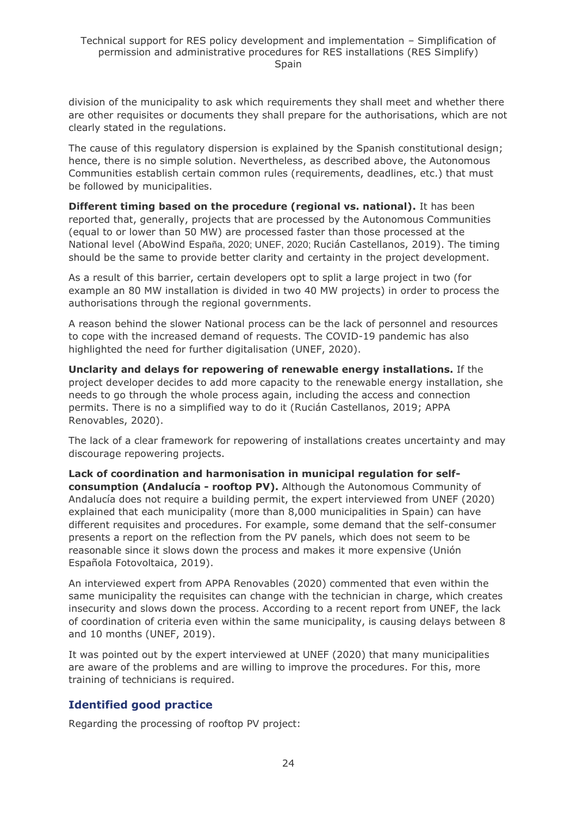division of the municipality to ask which requirements they shall meet and whether there are other requisites or documents they shall prepare for the authorisations, which are not clearly stated in the regulations.

The cause of this regulatory dispersion is explained by the Spanish constitutional design; hence, there is no simple solution. Nevertheless, as described above, the Autonomous Communities establish certain common rules (requirements, deadlines, etc.) that must be followed by municipalities.

**Different timing based on the procedure (regional vs. national).** It has been reported that, generally, projects that are processed by the Autonomous Communities (equal to or lower than 50 MW) are processed faster than those processed at the National level (AboWind España, 2020; UNEF, 2020; Rucián Castellanos, 2019). The timing should be the same to provide better clarity and certainty in the project development.

As a result of this barrier, certain developers opt to split a large project in two (for example an 80 MW installation is divided in two 40 MW projects) in order to process the authorisations through the regional governments.

A reason behind the slower National process can be the lack of personnel and resources to cope with the increased demand of requests. The COVID-19 pandemic has also highlighted the need for further digitalisation (UNEF, 2020).

**Unclarity and delays for repowering of renewable energy installations.** If the project developer decides to add more capacity to the renewable energy installation, she needs to go through the whole process again, including the access and connection permits. There is no a simplified way to do it (Rucián Castellanos, 2019; APPA Renovables, 2020).

The lack of a clear framework for repowering of installations creates uncertainty and may discourage repowering projects.

**Lack of coordination and harmonisation in municipal regulation for selfconsumption (Andalucía - rooftop PV).** Although the Autonomous Community of Andalucía does not require a building permit, the expert interviewed from UNEF (2020) explained that each municipality (more than 8,000 municipalities in Spain) can have different requisites and procedures. For example, some demand that the self-consumer presents a report on the reflection from the PV panels, which does not seem to be reasonable since it slows down the process and makes it more expensive (Unión Española Fotovoltaica, 2019).

An interviewed expert from APPA Renovables (2020) commented that even within the same municipality the requisites can change with the technician in charge, which creates insecurity and slows down the process. According to a recent report from UNEF, the lack of coordination of criteria even within the same municipality, is causing delays between 8 and 10 months (UNEF, 2019).

It was pointed out by the expert interviewed at UNEF (2020) that many municipalities are aware of the problems and are willing to improve the procedures. For this, more training of technicians is required.

### **Identified good practice**

Regarding the processing of rooftop PV project: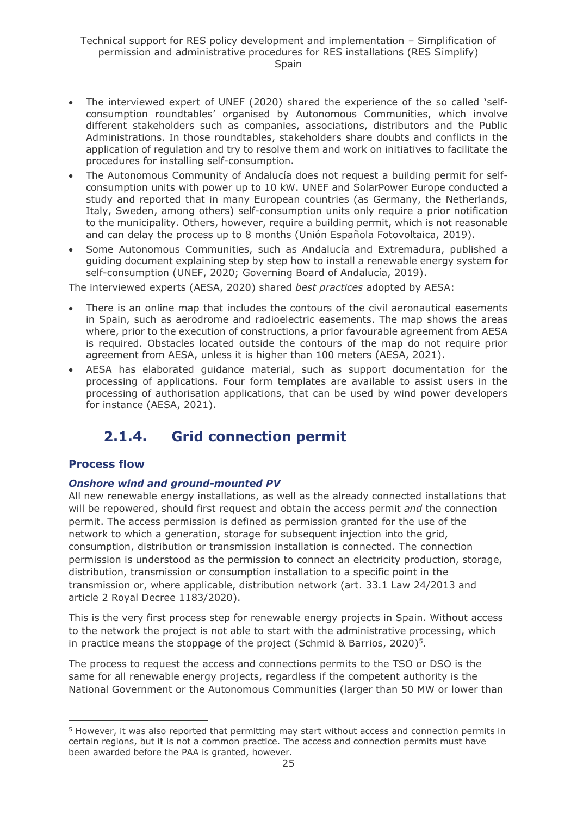- The interviewed expert of UNEF (2020) shared the experience of the so called 'selfconsumption roundtables' organised by Autonomous Communities, which involve different stakeholders such as companies, associations, distributors and the Public Administrations. In those roundtables, stakeholders share doubts and conflicts in the application of regulation and try to resolve them and work on initiatives to facilitate the procedures for installing self-consumption.
- The Autonomous Community of Andalucía does not request a building permit for selfconsumption units with power up to 10 kW. UNEF and SolarPower Europe conducted a study and reported that in many European countries (as Germany, the Netherlands, Italy, Sweden, among others) self-consumption units only require a prior notification to the municipality. Others, however, require a building permit, which is not reasonable and can delay the process up to 8 months (Unión Española Fotovoltaica, 2019).
- Some Autonomous Communities, such as Andalucía and Extremadura, published a guiding document explaining step by step how to install a renewable energy system for self-consumption (UNEF, 2020; Governing Board of Andalucía, 2019).

The interviewed experts (AESA, 2020) shared *best practices* adopted by AESA:

- There is an online map that includes the contours of the civil aeronautical easements in Spain, such as aerodrome and radioelectric easements. The map shows the areas where, prior to the execution of constructions, a prior favourable agreement from AESA is required. Obstacles located outside the contours of the map do not require prior agreement from AESA, unless it is higher than 100 meters (AESA, 2021).
- AESA has elaborated guidance material, such as support documentation for the processing of applications. Four form templates are available to assist users in the processing of authorisation applications, that can be used by wind power developers for instance (AESA, 2021).

## <span id="page-24-0"></span>**2.1.4. Grid connection permit**

### **Process flow**

#### *Onshore wind and ground-mounted PV*

All new renewable energy installations, as well as the already connected installations that will be repowered, should first request and obtain the access permit *and* the connection permit. The access permission is defined as permission granted for the use of the network to which a generation, storage for subsequent injection into the grid, consumption, distribution or transmission installation is connected. The connection permission is understood as the permission to connect an electricity production, storage, distribution, transmission or consumption installation to a specific point in the transmission or, where applicable, distribution network (art. 33.1 Law 24/2013 and article 2 Royal Decree 1183/2020).

This is the very first process step for renewable energy projects in Spain. Without access to the network the project is not able to start with the administrative processing, which in practice means the stoppage of the project (Schmid & Barrios, 2020)<sup>5</sup>.

The process to request the access and connections permits to the TSO or DSO is the same for all renewable energy projects, regardless if the competent authority is the National Government or the Autonomous Communities (larger than 50 MW or lower than

<sup>5</sup> However, it was also reported that permitting may start without access and connection permits in certain regions, but it is not a common practice. The access and connection permits must have been awarded before the PAA is granted, however.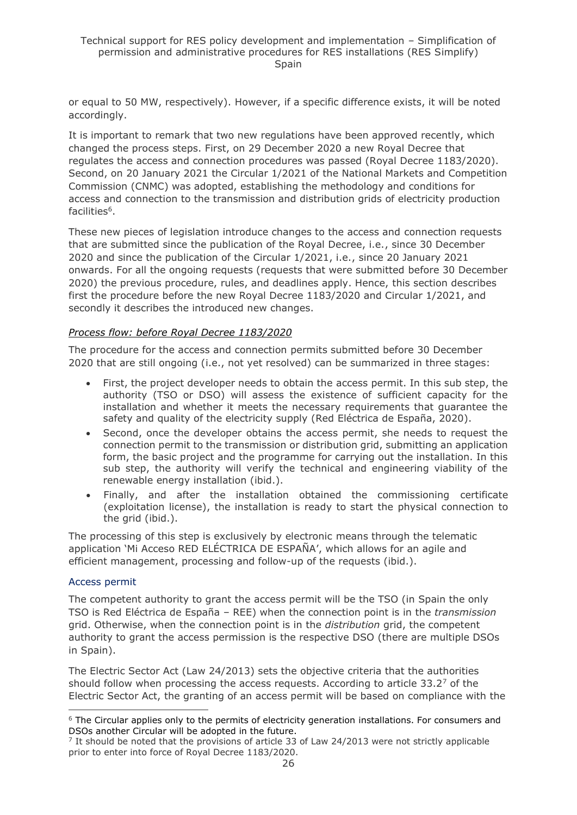or equal to 50 MW, respectively). However, if a specific difference exists, it will be noted accordingly.

It is important to remark that two new regulations have been approved recently, which changed the process steps. First, on 29 December 2020 a new Royal Decree that regulates the access and connection procedures was passed (Royal Decree 1183/2020). Second, on 20 January 2021 the Circular 1/2021 of the National Markets and Competition Commission (CNMC) was adopted, establishing the methodology and conditions for access and connection to the transmission and distribution grids of electricity production facilities<sup>6</sup>.

These new pieces of legislation introduce changes to the access and connection requests that are submitted since the publication of the Royal Decree, i.e., since 30 December 2020 and since the publication of the Circular 1/2021, i.e., since 20 January 2021 onwards. For all the ongoing requests (requests that were submitted before 30 December 2020) the previous procedure, rules, and deadlines apply. Hence, this section describes first the procedure before the new Royal Decree 1183/2020 and Circular 1/2021, and secondly it describes the introduced new changes.

#### *Process flow: before Royal Decree 1183/2020*

The procedure for the access and connection permits submitted before 30 December 2020 that are still ongoing (i.e., not yet resolved) can be summarized in three stages:

- First, the project developer needs to obtain the access permit. In this sub step, the authority (TSO or DSO) will assess the existence of sufficient capacity for the installation and whether it meets the necessary requirements that guarantee the safety and quality of the electricity supply (Red Eléctrica de España, 2020).
- Second, once the developer obtains the access permit, she needs to request the connection permit to the transmission or distribution grid, submitting an application form, the basic project and the programme for carrying out the installation. In this sub step, the authority will verify the technical and engineering viability of the renewable energy installation (ibid.).
- Finally, and after the installation obtained the commissioning certificate (exploitation license), the installation is ready to start the physical connection to the grid (ibid.).

The processing of this step is exclusively by electronic means through the telematic application 'Mi Acceso RED ELÉCTRICA DE ESPAÑA', which allows for an agile and efficient management, processing and follow-up of the requests (ibid.).

#### Access permit

The competent authority to grant the access permit will be the TSO (in Spain the only TSO is Red Eléctrica de España – REE) when the connection point is in the *transmission* grid. Otherwise, when the connection point is in the *distribution* grid, the competent authority to grant the access permission is the respective DSO (there are multiple DSOs in Spain).

The Electric Sector Act (Law 24/2013) sets the objective criteria that the authorities should follow when processing the access requests. According to article  $33.2<sup>7</sup>$  of the Electric Sector Act, the granting of an access permit will be based on compliance with the

 $6$  The Circular applies only to the permits of electricity generation installations. For consumers and DSOs another Circular will be adopted in the future.

<sup>&</sup>lt;sup>7</sup> It should be noted that the provisions of article 33 of Law 24/2013 were not strictly applicable prior to enter into force of Royal Decree 1183/2020.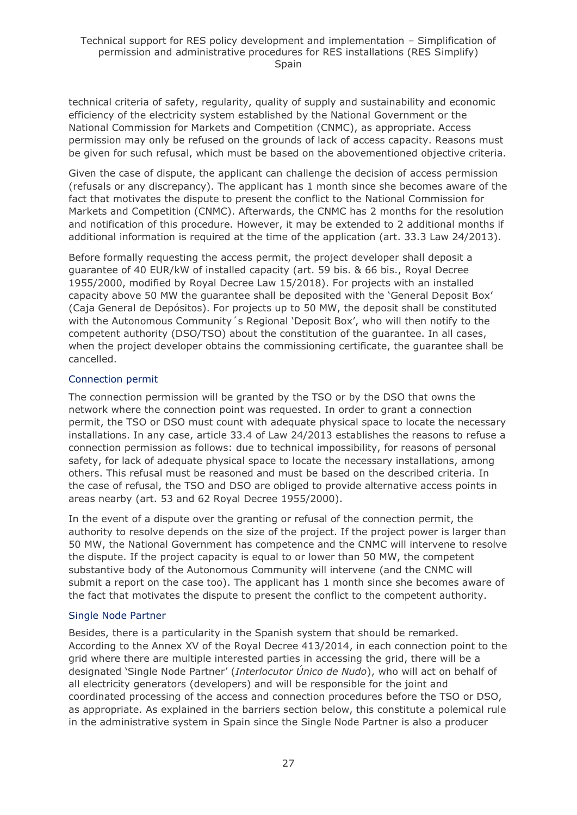technical criteria of safety, regularity, quality of supply and sustainability and economic efficiency of the electricity system established by the National Government or the National Commission for Markets and Competition (CNMC), as appropriate. Access permission may only be refused on the grounds of lack of access capacity. Reasons must be given for such refusal, which must be based on the abovementioned objective criteria.

Given the case of dispute, the applicant can challenge the decision of access permission (refusals or any discrepancy). The applicant has 1 month since she becomes aware of the fact that motivates the dispute to present the conflict to the National Commission for Markets and Competition (CNMC). Afterwards, the CNMC has 2 months for the resolution and notification of this procedure. However, it may be extended to 2 additional months if additional information is required at the time of the application (art. 33.3 Law 24/2013).

Before formally requesting the access permit, the project developer shall deposit a guarantee of 40 EUR/kW of installed capacity (art. 59 bis. & 66 bis., Royal Decree 1955/2000, modified by Royal Decree Law 15/2018). For projects with an installed capacity above 50 MW the guarantee shall be deposited with the 'General Deposit Box' (Caja General de Depósitos). For projects up to 50 MW, the deposit shall be constituted with the Autonomous Community's Regional 'Deposit Box', who will then notify to the competent authority (DSO/TSO) about the constitution of the guarantee. In all cases, when the project developer obtains the commissioning certificate, the guarantee shall be cancelled.

#### Connection permit

The connection permission will be granted by the TSO or by the DSO that owns the network where the connection point was requested. In order to grant a connection permit, the TSO or DSO must count with adequate physical space to locate the necessary installations. In any case, article 33.4 of Law 24/2013 establishes the reasons to refuse a connection permission as follows: due to technical impossibility, for reasons of personal safety, for lack of adequate physical space to locate the necessary installations, among others. This refusal must be reasoned and must be based on the described criteria. In the case of refusal, the TSO and DSO are obliged to provide alternative access points in areas nearby (art. 53 and 62 Royal Decree 1955/2000).

In the event of a dispute over the granting or refusal of the connection permit, the authority to resolve depends on the size of the project. If the project power is larger than 50 MW, the National Government has competence and the CNMC will intervene to resolve the dispute. If the project capacity is equal to or lower than 50 MW, the competent substantive body of the Autonomous Community will intervene (and the CNMC will submit a report on the case too). The applicant has 1 month since she becomes aware of the fact that motivates the dispute to present the conflict to the competent authority.

#### Single Node Partner

Besides, there is a particularity in the Spanish system that should be remarked. According to the Annex XV of the Royal Decree 413/2014, in each connection point to the grid where there are multiple interested parties in accessing the grid, there will be a designated 'Single Node Partner' (*Interlocutor Único de Nudo*), who will act on behalf of all electricity generators (developers) and will be responsible for the joint and coordinated processing of the access and connection procedures before the TSO or DSO, as appropriate. As explained in the barriers section below, this constitute a polemical rule in the administrative system in Spain since the Single Node Partner is also a producer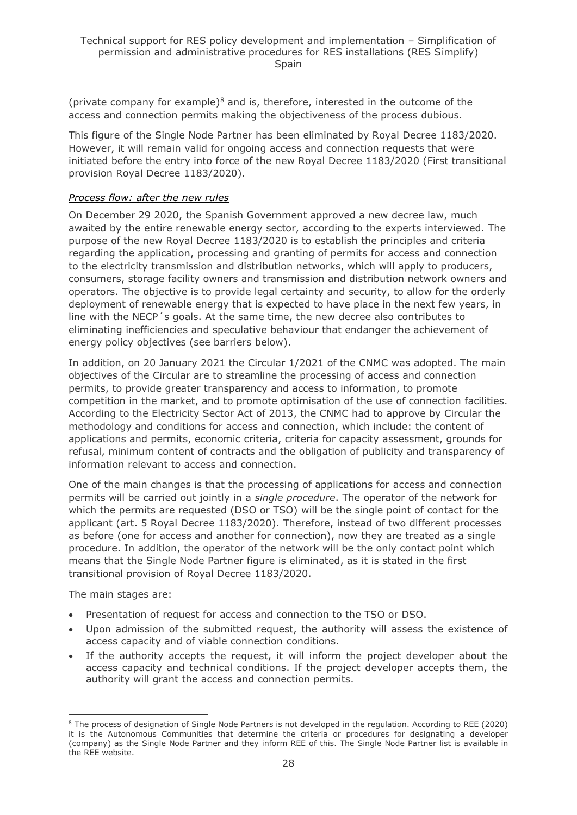(private company for example) $8$  and is, therefore, interested in the outcome of the access and connection permits making the objectiveness of the process dubious.

This figure of the Single Node Partner has been eliminated by Royal Decree 1183/2020. However, it will remain valid for ongoing access and connection requests that were initiated before the entry into force of the new Royal Decree 1183/2020 (First transitional provision Royal Decree 1183/2020).

#### *Process flow: after the new rules*

On December 29 2020, the Spanish Government approved a new decree law, much awaited by the entire renewable energy sector, according to the experts interviewed. The purpose of the new Royal Decree 1183/2020 is to establish the principles and criteria regarding the application, processing and granting of permits for access and connection to the electricity transmission and distribution networks, which will apply to producers, consumers, storage facility owners and transmission and distribution network owners and operators. The objective is to provide legal certainty and security, to allow for the orderly deployment of renewable energy that is expected to have place in the next few years, in line with the NECP´s goals. At the same time, the new decree also contributes to eliminating inefficiencies and speculative behaviour that endanger the achievement of energy policy objectives (see barriers below).

In addition, on 20 January 2021 the Circular 1/2021 of the CNMC was adopted. The main objectives of the Circular are to streamline the processing of access and connection permits, to provide greater transparency and access to information, to promote competition in the market, and to promote optimisation of the use of connection facilities. According to the Electricity Sector Act of 2013, the CNMC had to approve by Circular the methodology and conditions for access and connection, which include: the content of applications and permits, economic criteria, criteria for capacity assessment, grounds for refusal, minimum content of contracts and the obligation of publicity and transparency of information relevant to access and connection.

One of the main changes is that the processing of applications for access and connection permits will be carried out jointly in a *single procedure*. The operator of the network for which the permits are requested (DSO or TSO) will be the single point of contact for the applicant (art. 5 Royal Decree 1183/2020). Therefore, instead of two different processes as before (one for access and another for connection), now they are treated as a single procedure. In addition, the operator of the network will be the only contact point which means that the Single Node Partner figure is eliminated, as it is stated in the first transitional provision of Royal Decree 1183/2020.

The main stages are:

- Presentation of request for access and connection to the TSO or DSO.
- Upon admission of the submitted request, the authority will assess the existence of access capacity and of viable connection conditions.
- If the authority accepts the request, it will inform the project developer about the access capacity and technical conditions. If the project developer accepts them, the authority will grant the access and connection permits.

<sup>8</sup> The process of designation of Single Node Partners is not developed in the regulation. According to REE (2020) it is the Autonomous Communities that determine the criteria or procedures for designating a developer (company) as the Single Node Partner and they inform REE of this. The Single Node Partner list is available in the REE website.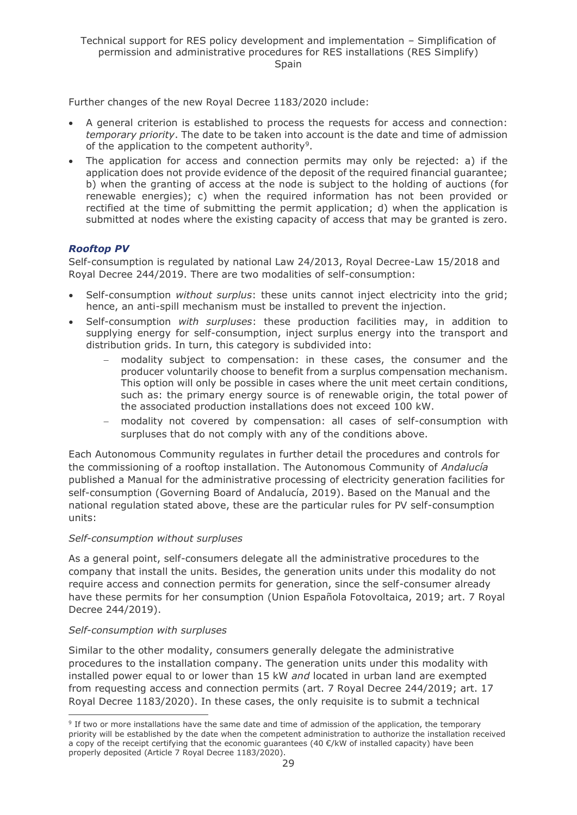Further changes of the new Royal Decree 1183/2020 include:

- A general criterion is established to process the requests for access and connection: *temporary priority*. The date to be taken into account is the date and time of admission of the application to the competent authority<sup>9</sup>.
- The application for access and connection permits may only be rejected: a) if the application does not provide evidence of the deposit of the required financial guarantee; b) when the granting of access at the node is subject to the holding of auctions (for renewable energies); c) when the required information has not been provided or rectified at the time of submitting the permit application; d) when the application is submitted at nodes where the existing capacity of access that may be granted is zero.

#### *Rooftop PV*

Self-consumption is regulated by national Law 24/2013, Royal Decree-Law 15/2018 and Royal Decree 244/2019. There are two modalities of self-consumption:

- Self-consumption *without surplus*: these units cannot inject electricity into the grid; hence, an anti-spill mechanism must be installed to prevent the injection.
- Self-consumption *with surpluses*: these production facilities may, in addition to supplying energy for self-consumption, inject surplus energy into the transport and distribution grids. In turn, this category is subdivided into:
	- modality subject to compensation: in these cases, the consumer and the producer voluntarily choose to benefit from a surplus compensation mechanism. This option will only be possible in cases where the unit meet certain conditions, such as: the primary energy source is of renewable origin, the total power of the associated production installations does not exceed 100 kW.
	- − modality not covered by compensation: all cases of self-consumption with surpluses that do not comply with any of the conditions above.

Each Autonomous Community regulates in further detail the procedures and controls for the commissioning of a rooftop installation. The Autonomous Community of *Andalucía* published a Manual for the administrative processing of electricity generation facilities for self-consumption (Governing Board of Andalucía, 2019). Based on the Manual and the national regulation stated above, these are the particular rules for PV self-consumption units:

#### *Self-consumption without surpluses*

As a general point, self-consumers delegate all the administrative procedures to the company that install the units. Besides, the generation units under this modality do not require access and connection permits for generation, since the self-consumer already have these permits for her consumption (Union Española Fotovoltaica, 2019; art. 7 Royal Decree 244/2019).

#### *Self-consumption with surpluses*

Similar to the other modality, consumers generally delegate the administrative procedures to the installation company. The generation units under this modality with installed power equal to or lower than 15 kW *and* located in urban land are exempted from requesting access and connection permits (art. 7 Royal Decree 244/2019; art. 17 Royal Decree 1183/2020). In these cases, the only requisite is to submit a technical

<sup>&</sup>lt;sup>9</sup> If two or more installations have the same date and time of admission of the application, the temporary priority will be established by the date when the competent administration to authorize the installation received a copy of the receipt certifying that the economic guarantees (40  $\epsilon$ /kW of installed capacity) have been properly deposited (Article 7 Royal Decree 1183/2020).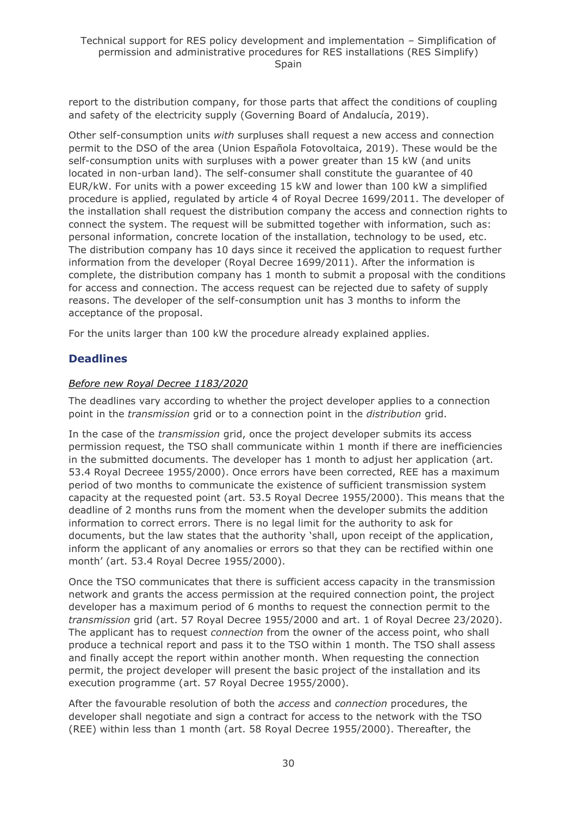report to the distribution company, for those parts that affect the conditions of coupling and safety of the electricity supply (Governing Board of Andalucía, 2019).

Other self-consumption units *with* surpluses shall request a new access and connection permit to the DSO of the area (Union Española Fotovoltaica, 2019). These would be the self-consumption units with surpluses with a power greater than 15 kW (and units located in non-urban land). The self-consumer shall constitute the guarantee of 40 EUR/kW. For units with a power exceeding 15 kW and lower than 100 kW a simplified procedure is applied, regulated by article 4 of Royal Decree 1699/2011. The developer of the installation shall request the distribution company the access and connection rights to connect the system. The request will be submitted together with information, such as: personal information, concrete location of the installation, technology to be used, etc. The distribution company has 10 days since it received the application to request further information from the developer (Royal Decree 1699/2011). After the information is complete, the distribution company has 1 month to submit a proposal with the conditions for access and connection. The access request can be rejected due to safety of supply reasons. The developer of the self-consumption unit has 3 months to inform the acceptance of the proposal.

For the units larger than 100 kW the procedure already explained applies.

### **Deadlines**

#### *Before new Royal Decree 1183/2020*

The deadlines vary according to whether the project developer applies to a connection point in the *transmission* grid or to a connection point in the *distribution* grid.

In the case of the *transmission* grid, once the project developer submits its access permission request, the TSO shall communicate within 1 month if there are inefficiencies in the submitted documents. The developer has 1 month to adjust her application (art. 53.4 Royal Decreee 1955/2000). Once errors have been corrected, REE has a maximum period of two months to communicate the existence of sufficient transmission system capacity at the requested point (art. 53.5 Royal Decree 1955/2000). This means that the deadline of 2 months runs from the moment when the developer submits the addition information to correct errors. There is no legal limit for the authority to ask for documents, but the law states that the authority 'shall, upon receipt of the application, inform the applicant of any anomalies or errors so that they can be rectified within one month' (art. 53.4 Royal Decree 1955/2000).

Once the TSO communicates that there is sufficient access capacity in the transmission network and grants the access permission at the required connection point, the project developer has a maximum period of 6 months to request the connection permit to the *transmission* grid (art. 57 Royal Decree 1955/2000 and art. 1 of Royal Decree 23/2020). The applicant has to request *connection* from the owner of the access point, who shall produce a technical report and pass it to the TSO within 1 month. The TSO shall assess and finally accept the report within another month. When requesting the connection permit, the project developer will present the basic project of the installation and its execution programme (art. 57 Royal Decree 1955/2000).

After the favourable resolution of both the *access* and *connection* procedures, the developer shall negotiate and sign a contract for access to the network with the TSO (REE) within less than 1 month (art. 58 Royal Decree 1955/2000). Thereafter, the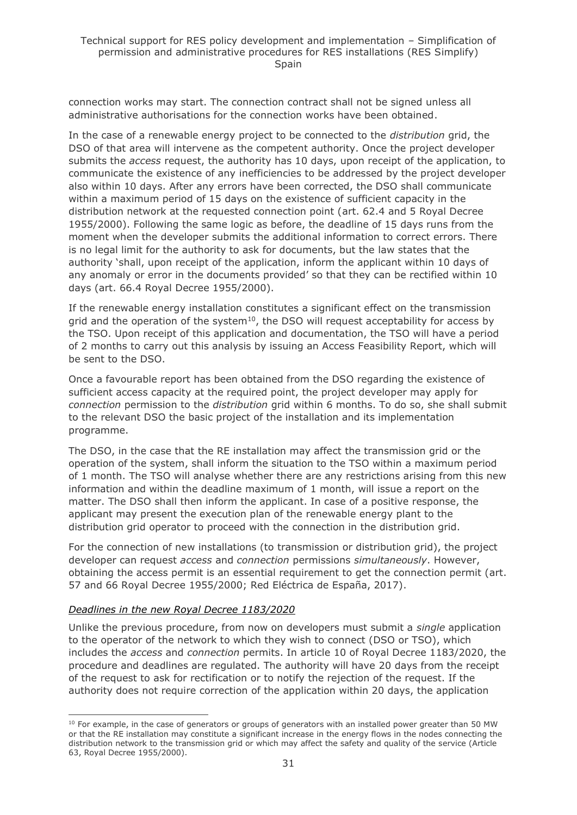connection works may start. The connection contract shall not be signed unless all administrative authorisations for the connection works have been obtained.

In the case of a renewable energy project to be connected to the *distribution* grid, the DSO of that area will intervene as the competent authority. Once the project developer submits the *access* request, the authority has 10 days, upon receipt of the application, to communicate the existence of any inefficiencies to be addressed by the project developer also within 10 days. After any errors have been corrected, the DSO shall communicate within a maximum period of 15 days on the existence of sufficient capacity in the distribution network at the requested connection point (art. 62.4 and 5 Royal Decree 1955/2000). Following the same logic as before, the deadline of 15 days runs from the moment when the developer submits the additional information to correct errors. There is no legal limit for the authority to ask for documents, but the law states that the authority 'shall, upon receipt of the application, inform the applicant within 10 days of any anomaly or error in the documents provided' so that they can be rectified within 10 days (art. 66.4 Royal Decree 1955/2000).

If the renewable energy installation constitutes a significant effect on the transmission grid and the operation of the system $10$ , the DSO will request acceptability for access by the TSO. Upon receipt of this application and documentation, the TSO will have a period of 2 months to carry out this analysis by issuing an Access Feasibility Report, which will be sent to the DSO.

Once a favourable report has been obtained from the DSO regarding the existence of sufficient access capacity at the required point, the project developer may apply for *connection* permission to the *distribution* grid within 6 months. To do so, she shall submit to the relevant DSO the basic project of the installation and its implementation programme.

The DSO, in the case that the RE installation may affect the transmission grid or the operation of the system, shall inform the situation to the TSO within a maximum period of 1 month. The TSO will analyse whether there are any restrictions arising from this new information and within the deadline maximum of 1 month, will issue a report on the matter. The DSO shall then inform the applicant. In case of a positive response, the applicant may present the execution plan of the renewable energy plant to the distribution grid operator to proceed with the connection in the distribution grid.

For the connection of new installations (to transmission or distribution grid), the project developer can request *access* and *connection* permissions *simultaneously*. However, obtaining the access permit is an essential requirement to get the connection permit (art. 57 and 66 Royal Decree 1955/2000; Red Eléctrica de España, 2017).

#### *Deadlines in the new Royal Decree 1183/2020*

Unlike the previous procedure, from now on developers must submit a *single* application to the operator of the network to which they wish to connect (DSO or TSO), which includes the *access* and *connection* permits. In article 10 of Royal Decree 1183/2020, the procedure and deadlines are regulated. The authority will have 20 days from the receipt of the request to ask for rectification or to notify the rejection of the request. If the authority does not require correction of the application within 20 days, the application

 $10$  For example, in the case of generators or groups of generators with an installed power greater than 50 MW or that the RE installation may constitute a significant increase in the energy flows in the nodes connecting the distribution network to the transmission grid or which may affect the safety and quality of the service (Article 63, Royal Decree 1955/2000).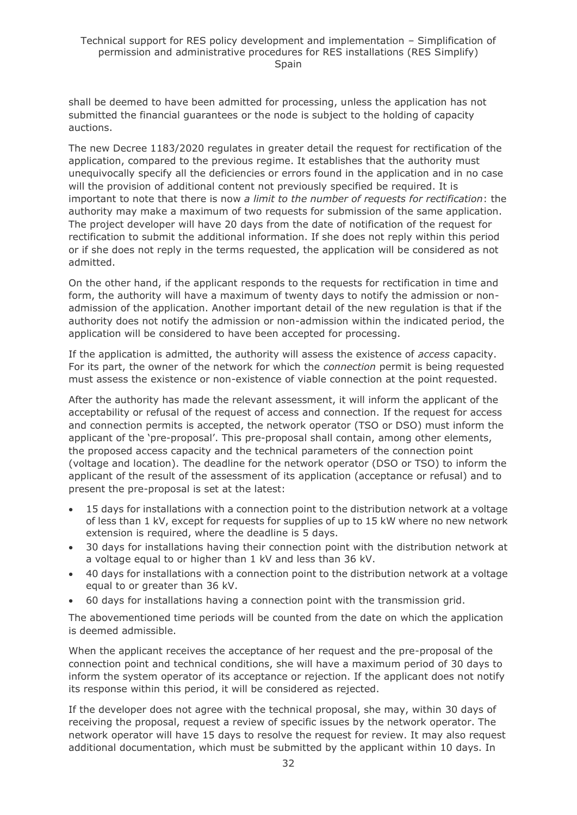shall be deemed to have been admitted for processing, unless the application has not submitted the financial guarantees or the node is subject to the holding of capacity auctions.

The new Decree 1183/2020 regulates in greater detail the request for rectification of the application, compared to the previous regime. It establishes that the authority must unequivocally specify all the deficiencies or errors found in the application and in no case will the provision of additional content not previously specified be required. It is important to note that there is now *a limit to the number of requests for rectification*: the authority may make a maximum of two requests for submission of the same application. The project developer will have 20 days from the date of notification of the request for rectification to submit the additional information. If she does not reply within this period or if she does not reply in the terms requested, the application will be considered as not admitted.

On the other hand, if the applicant responds to the requests for rectification in time and form, the authority will have a maximum of twenty days to notify the admission or nonadmission of the application. Another important detail of the new regulation is that if the authority does not notify the admission or non-admission within the indicated period, the application will be considered to have been accepted for processing.

If the application is admitted, the authority will assess the existence of *access* capacity. For its part, the owner of the network for which the *connection* permit is being requested must assess the existence or non-existence of viable connection at the point requested.

After the authority has made the relevant assessment, it will inform the applicant of the acceptability or refusal of the request of access and connection. If the request for access and connection permits is accepted, the network operator (TSO or DSO) must inform the applicant of the 'pre-proposal'. This pre-proposal shall contain, among other elements, the proposed access capacity and the technical parameters of the connection point (voltage and location). The deadline for the network operator (DSO or TSO) to inform the applicant of the result of the assessment of its application (acceptance or refusal) and to present the pre-proposal is set at the latest:

- 15 days for installations with a connection point to the distribution network at a voltage of less than 1 kV, except for requests for supplies of up to 15 kW where no new network extension is required, where the deadline is 5 days.
- 30 days for installations having their connection point with the distribution network at a voltage equal to or higher than 1 kV and less than 36 kV.
- 40 days for installations with a connection point to the distribution network at a voltage equal to or greater than 36 kV.
- 60 days for installations having a connection point with the transmission grid.

The abovementioned time periods will be counted from the date on which the application is deemed admissible.

When the applicant receives the acceptance of her request and the pre-proposal of the connection point and technical conditions, she will have a maximum period of 30 days to inform the system operator of its acceptance or rejection. If the applicant does not notify its response within this period, it will be considered as rejected.

If the developer does not agree with the technical proposal, she may, within 30 days of receiving the proposal, request a review of specific issues by the network operator. The network operator will have 15 days to resolve the request for review. It may also request additional documentation, which must be submitted by the applicant within 10 days. In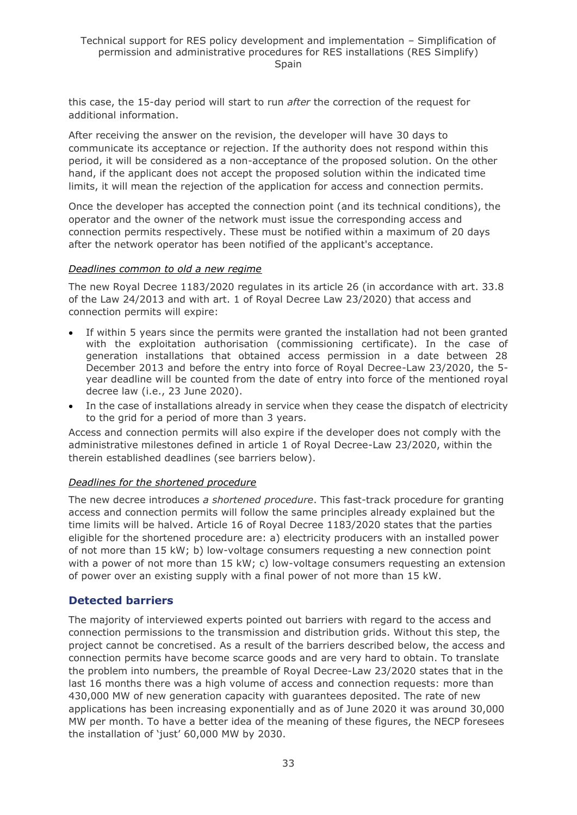this case, the 15-day period will start to run *after* the correction of the request for additional information.

After receiving the answer on the revision, the developer will have 30 days to communicate its acceptance or rejection. If the authority does not respond within this period, it will be considered as a non-acceptance of the proposed solution. On the other hand, if the applicant does not accept the proposed solution within the indicated time limits, it will mean the rejection of the application for access and connection permits.

Once the developer has accepted the connection point (and its technical conditions), the operator and the owner of the network must issue the corresponding access and connection permits respectively. These must be notified within a maximum of 20 days after the network operator has been notified of the applicant's acceptance.

#### *Deadlines common to old a new regime*

The new Royal Decree 1183/2020 regulates in its article 26 (in accordance with art. 33.8 of the Law 24/2013 and with art. 1 of Royal Decree Law 23/2020) that access and connection permits will expire:

- If within 5 years since the permits were granted the installation had not been granted with the exploitation authorisation (commissioning certificate). In the case of generation installations that obtained access permission in a date between 28 December 2013 and before the entry into force of Royal Decree-Law 23/2020, the 5 year deadline will be counted from the date of entry into force of the mentioned royal decree law (i.e., 23 June 2020).
- In the case of installations already in service when they cease the dispatch of electricity to the grid for a period of more than 3 years.

Access and connection permits will also expire if the developer does not comply with the administrative milestones defined in article 1 of Royal Decree-Law 23/2020, within the therein established deadlines (see barriers below).

#### *Deadlines for the shortened procedure*

The new decree introduces *a shortened procedure*. This fast-track procedure for granting access and connection permits will follow the same principles already explained but the time limits will be halved. Article 16 of Royal Decree 1183/2020 states that the parties eligible for the shortened procedure are: a) electricity producers with an installed power of not more than 15 kW; b) low-voltage consumers requesting a new connection point with a power of not more than 15 kW; c) low-voltage consumers requesting an extension of power over an existing supply with a final power of not more than 15 kW.

### **Detected barriers**

The majority of interviewed experts pointed out barriers with regard to the access and connection permissions to the transmission and distribution grids. Without this step, the project cannot be concretised. As a result of the barriers described below, the access and connection permits have become scarce goods and are very hard to obtain. To translate the problem into numbers, the preamble of Royal Decree-Law 23/2020 states that in the last 16 months there was a high volume of access and connection requests: more than 430,000 MW of new generation capacity with guarantees deposited. The rate of new applications has been increasing exponentially and as of June 2020 it was around 30,000 MW per month. To have a better idea of the meaning of these figures, the NECP foresees the installation of 'just' 60,000 MW by 2030.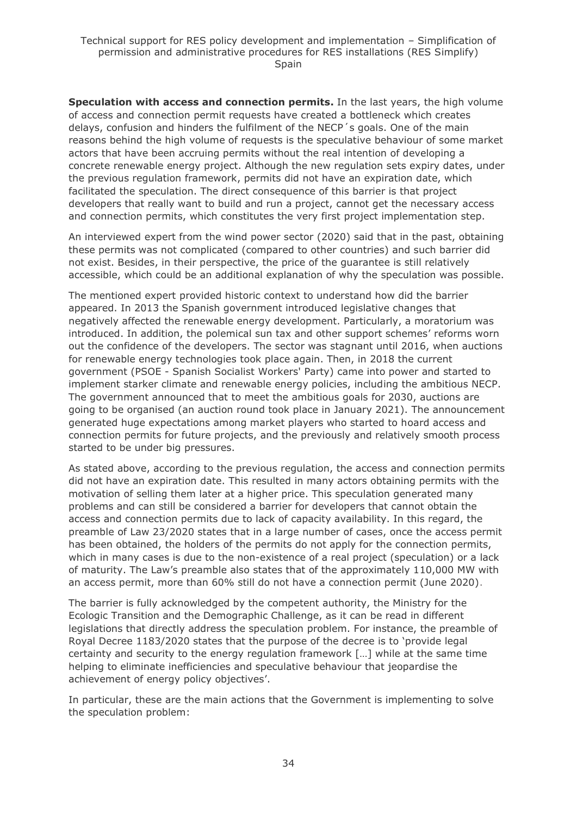**Speculation with access and connection permits.** In the last years, the high volume of access and connection permit requests have created a bottleneck which creates delays, confusion and hinders the fulfilment of the NECP´s goals. One of the main reasons behind the high volume of requests is the speculative behaviour of some market actors that have been accruing permits without the real intention of developing a concrete renewable energy project. Although the new regulation sets expiry dates, under the previous regulation framework, permits did not have an expiration date, which facilitated the speculation. The direct consequence of this barrier is that project developers that really want to build and run a project, cannot get the necessary access and connection permits, which constitutes the very first project implementation step.

An interviewed expert from the wind power sector (2020) said that in the past, obtaining these permits was not complicated (compared to other countries) and such barrier did not exist. Besides, in their perspective, the price of the guarantee is still relatively accessible, which could be an additional explanation of why the speculation was possible.

The mentioned expert provided historic context to understand how did the barrier appeared. In 2013 the Spanish government introduced legislative changes that negatively affected the renewable energy development. Particularly, a moratorium was introduced. In addition, the polemical sun tax and other support schemes' reforms worn out the confidence of the developers. The sector was stagnant until 2016, when auctions for renewable energy technologies took place again. Then, in 2018 the current government (PSOE - Spanish Socialist Workers' Party) came into power and started to implement starker climate and renewable energy policies, including the ambitious NECP. The government announced that to meet the ambitious goals for 2030, auctions are going to be organised (an auction round took place in January 2021). The announcement generated huge expectations among market players who started to hoard access and connection permits for future projects, and the previously and relatively smooth process started to be under big pressures.

As stated above, according to the previous regulation, the access and connection permits did not have an expiration date. This resulted in many actors obtaining permits with the motivation of selling them later at a higher price. This speculation generated many problems and can still be considered a barrier for developers that cannot obtain the access and connection permits due to lack of capacity availability. In this regard, the preamble of Law 23/2020 states that in a large number of cases, once the access permit has been obtained, the holders of the permits do not apply for the connection permits, which in many cases is due to the non-existence of a real project (speculation) or a lack of maturity. The Law's preamble also states that of the approximately 110,000 MW with an access permit, more than 60% still do not have a connection permit (June 2020).

The barrier is fully acknowledged by the competent authority, the Ministry for the Ecologic Transition and the Demographic Challenge, as it can be read in different legislations that directly address the speculation problem. For instance, the preamble of Royal Decree 1183/2020 states that the purpose of the decree is to 'provide legal certainty and security to the energy regulation framework […] while at the same time helping to eliminate inefficiencies and speculative behaviour that jeopardise the achievement of energy policy objectives'.

In particular, these are the main actions that the Government is implementing to solve the speculation problem: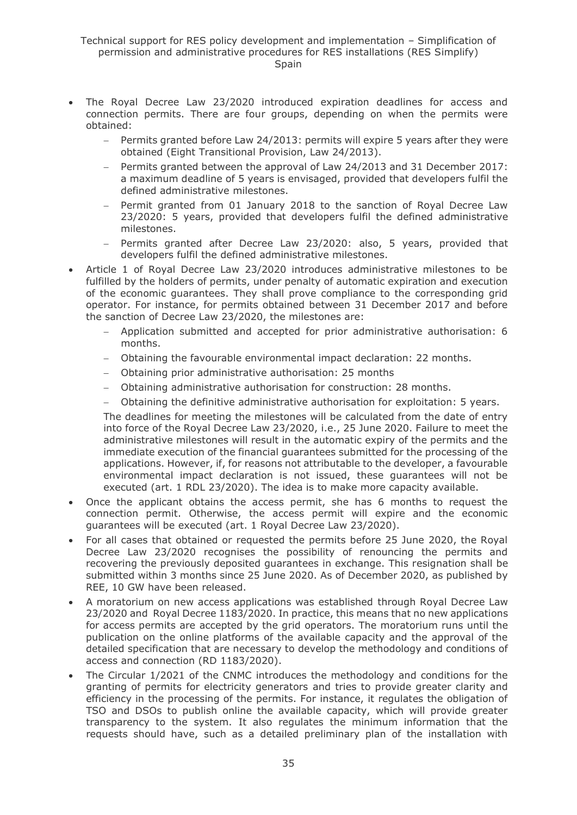- The Royal Decree Law 23/2020 introduced expiration deadlines for access and connection permits. There are four groups, depending on when the permits were obtained:
	- Permits granted before Law 24/2013: permits will expire 5 years after they were obtained (Eight Transitional Provision, Law 24/2013).
	- − Permits granted between the approval of Law 24/2013 and 31 December 2017: a maximum deadline of 5 years is envisaged, provided that developers fulfil the defined administrative milestones.
	- − Permit granted from 01 January 2018 to the sanction of Royal Decree Law 23/2020: 5 years, provided that developers fulfil the defined administrative milestones.
	- − Permits granted after Decree Law 23/2020: also, 5 years, provided that developers fulfil the defined administrative milestones.
- Article 1 of Royal Decree Law 23/2020 introduces administrative milestones to be fulfilled by the holders of permits, under penalty of automatic expiration and execution of the economic guarantees. They shall prove compliance to the corresponding grid operator. For instance, for permits obtained between 31 December 2017 and before the sanction of Decree Law 23/2020, the milestones are:
	- − Application submitted and accepted for prior administrative authorisation: 6 months.
	- − Obtaining the favourable environmental impact declaration: 22 months.
	- − Obtaining prior administrative authorisation: 25 months
	- − Obtaining administrative authorisation for construction: 28 months.
	- − Obtaining the definitive administrative authorisation for exploitation: 5 years.

The deadlines for meeting the milestones will be calculated from the date of entry into force of the Royal Decree Law 23/2020, i.e., 25 June 2020. Failure to meet the administrative milestones will result in the automatic expiry of the permits and the immediate execution of the financial guarantees submitted for the processing of the applications. However, if, for reasons not attributable to the developer, a favourable environmental impact declaration is not issued, these guarantees will not be executed (art. 1 RDL 23/2020). The idea is to make more capacity available.

- Once the applicant obtains the access permit, she has 6 months to request the connection permit. Otherwise, the access permit will expire and the economic guarantees will be executed (art. 1 Royal Decree Law 23/2020).
- For all cases that obtained or requested the permits before 25 June 2020, the Royal Decree Law 23/2020 recognises the possibility of renouncing the permits and recovering the previously deposited guarantees in exchange. This resignation shall be submitted within 3 months since 25 June 2020. As of December 2020, as published by REE, 10 GW have been released.
- A moratorium on new access applications was established through Royal Decree Law 23/2020 and Royal Decree 1183/2020. In practice, this means that no new applications for access permits are accepted by the grid operators. The moratorium runs until the publication on the online platforms of the available capacity and the approval of the detailed specification that are necessary to develop the methodology and conditions of access and connection (RD 1183/2020).
- The Circular 1/2021 of the CNMC introduces the methodology and conditions for the granting of permits for electricity generators and tries to provide greater clarity and efficiency in the processing of the permits. For instance, it regulates the obligation of TSO and DSOs to publish online the available capacity, which will provide greater transparency to the system. It also regulates the minimum information that the requests should have, such as a detailed preliminary plan of the installation with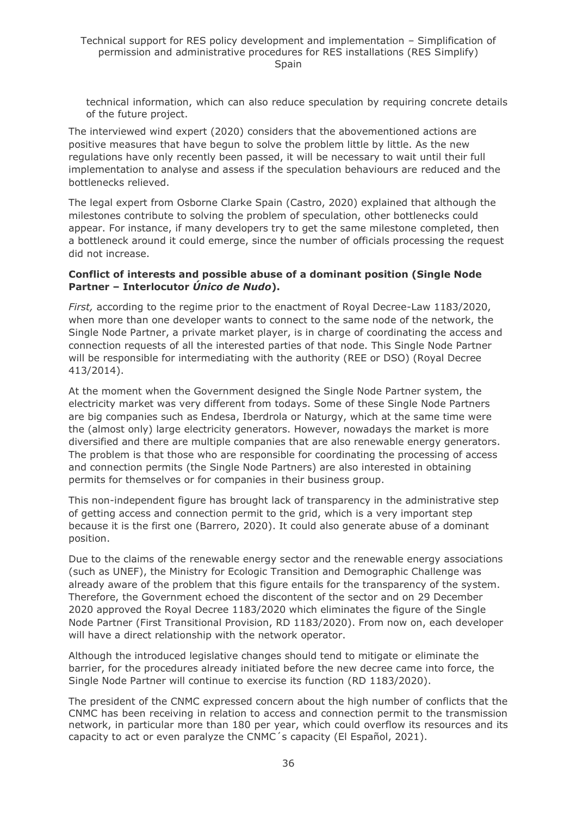technical information, which can also reduce speculation by requiring concrete details of the future project.

The interviewed wind expert (2020) considers that the abovementioned actions are positive measures that have begun to solve the problem little by little. As the new regulations have only recently been passed, it will be necessary to wait until their full implementation to analyse and assess if the speculation behaviours are reduced and the bottlenecks relieved.

The legal expert from Osborne Clarke Spain (Castro, 2020) explained that although the milestones contribute to solving the problem of speculation, other bottlenecks could appear. For instance, if many developers try to get the same milestone completed, then a bottleneck around it could emerge, since the number of officials processing the request did not increase.

#### **Conflict of interests and possible abuse of a dominant position (Single Node Partner – Interlocutor** *Único de Nudo***).**

*First,* according to the regime prior to the enactment of Royal Decree-Law 1183/2020, when more than one developer wants to connect to the same node of the network, the Single Node Partner, a private market player, is in charge of coordinating the access and connection requests of all the interested parties of that node. This Single Node Partner will be responsible for intermediating with the authority (REE or DSO) (Royal Decree 413/2014).

At the moment when the Government designed the Single Node Partner system, the electricity market was very different from todays. Some of these Single Node Partners are big companies such as Endesa, Iberdrola or Naturgy, which at the same time were the (almost only) large electricity generators. However, nowadays the market is more diversified and there are multiple companies that are also renewable energy generators. The problem is that those who are responsible for coordinating the processing of access and connection permits (the Single Node Partners) are also interested in obtaining permits for themselves or for companies in their business group.

This non-independent figure has brought lack of transparency in the administrative step of getting access and connection permit to the grid, which is a very important step because it is the first one (Barrero, 2020). It could also generate abuse of a dominant position.

Due to the claims of the renewable energy sector and the renewable energy associations (such as UNEF), the Ministry for Ecologic Transition and Demographic Challenge was already aware of the problem that this figure entails for the transparency of the system. Therefore, the Government echoed the discontent of the sector and on 29 December 2020 approved the Royal Decree 1183/2020 which eliminates the figure of the Single Node Partner (First Transitional Provision, RD 1183/2020). From now on, each developer will have a direct relationship with the network operator.

Although the introduced legislative changes should tend to mitigate or eliminate the barrier, for the procedures already initiated before the new decree came into force, the Single Node Partner will continue to exercise its function (RD 1183/2020).

The president of the CNMC expressed concern about the high number of conflicts that the CNMC has been receiving in relation to access and connection permit to the transmission network, in particular more than 180 per year, which could overflow its resources and its capacity to act or even paralyze the CNMC´s capacity (El Español, 2021).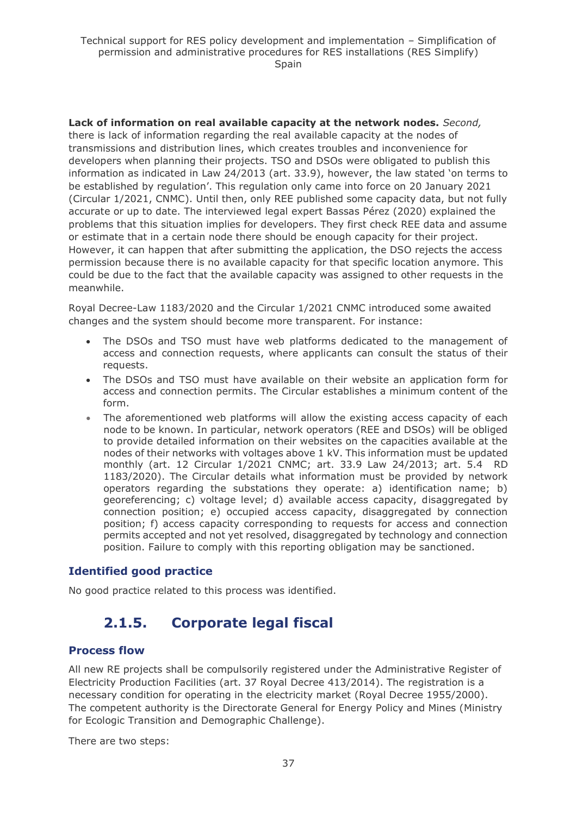**Lack of information on real available capacity at the network nodes.** *Second,* there is lack of information regarding the real available capacity at the nodes of transmissions and distribution lines, which creates troubles and inconvenience for developers when planning their projects. TSO and DSOs were obligated to publish this information as indicated in Law 24/2013 (art. 33.9), however, the law stated 'on terms to be established by regulation'. This regulation only came into force on 20 January 2021 (Circular 1/2021, CNMC). Until then, only REE published some capacity data, but not fully accurate or up to date. The interviewed legal expert Bassas Pérez (2020) explained the problems that this situation implies for developers. They first check REE data and assume or estimate that in a certain node there should be enough capacity for their project. However, it can happen that after submitting the application, the DSO rejects the access permission because there is no available capacity for that specific location anymore. This could be due to the fact that the available capacity was assigned to other requests in the meanwhile.

Royal Decree-Law 1183/2020 and the Circular 1/2021 CNMC introduced some awaited changes and the system should become more transparent. For instance:

- The DSOs and TSO must have web platforms dedicated to the management of access and connection requests, where applicants can consult the status of their requests.
- The DSOs and TSO must have available on their website an application form for access and connection permits. The Circular establishes a minimum content of the form.
- The aforementioned web platforms will allow the existing access capacity of each node to be known. In particular, network operators (REE and DSOs) will be obliged to provide detailed information on their websites on the capacities available at the nodes of their networks with voltages above 1 kV. This information must be updated monthly (art. 12 Circular 1/2021 CNMC; art. 33.9 Law 24/2013; art. 5.4 RD 1183/2020). The Circular details what information must be provided by network operators regarding the substations they operate: a) identification name; b) georeferencing; c) voltage level; d) available access capacity, disaggregated by connection position; e) occupied access capacity, disaggregated by connection position; f) access capacity corresponding to requests for access and connection permits accepted and not yet resolved, disaggregated by technology and connection position. Failure to comply with this reporting obligation may be sanctioned.

### **Identified good practice**

<span id="page-36-0"></span>No good practice related to this process was identified.

## **2.1.5. Corporate legal fiscal**

### **Process flow**

All new RE projects shall be compulsorily registered under the Administrative Register of Electricity Production Facilities (art. 37 Royal Decree 413/2014). The registration is a necessary condition for operating in the electricity market (Royal Decree 1955/2000). The competent authority is the Directorate General for Energy Policy and Mines (Ministry for Ecologic Transition and Demographic Challenge).

There are two steps: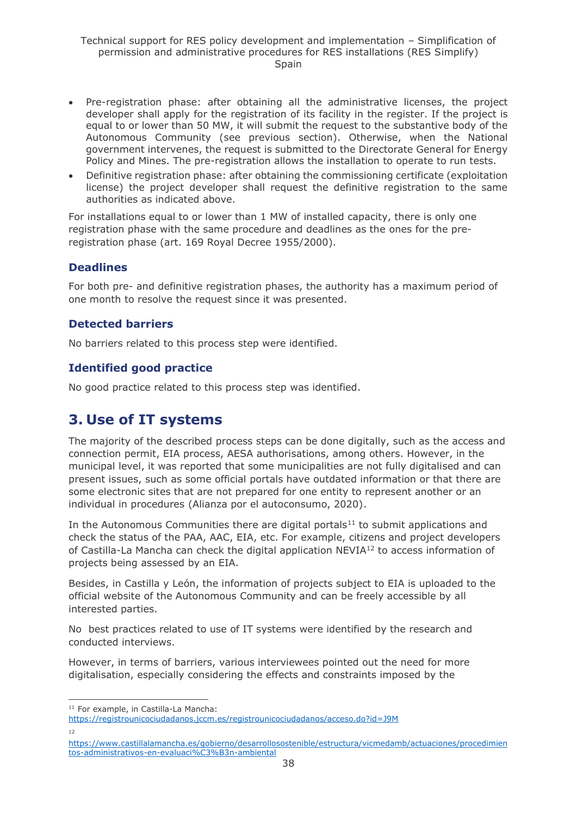- Pre-registration phase: after obtaining all the administrative licenses, the project developer shall apply for the registration of its facility in the register. If the project is equal to or lower than 50 MW, it will submit the request to the substantive body of the Autonomous Community (see previous section). Otherwise, when the National government intervenes, the request is submitted to the Directorate General for Energy Policy and Mines. The pre-registration allows the installation to operate to run tests.
- Definitive registration phase: after obtaining the commissioning certificate (exploitation license) the project developer shall request the definitive registration to the same authorities as indicated above.

For installations equal to or lower than 1 MW of installed capacity, there is only one registration phase with the same procedure and deadlines as the ones for the preregistration phase (art. 169 Royal Decree 1955/2000).

### **Deadlines**

For both pre- and definitive registration phases, the authority has a maximum period of one month to resolve the request since it was presented.

### **Detected barriers**

No barriers related to this process step were identified.

### **Identified good practice**

No good practice related to this process step was identified.

## <span id="page-37-0"></span>**3. Use of IT systems**

The majority of the described process steps can be done digitally, such as the access and connection permit, EIA process, AESA authorisations, among others. However, in the municipal level, it was reported that some municipalities are not fully digitalised and can present issues, such as some official portals have outdated information or that there are some electronic sites that are not prepared for one entity to represent another or an individual in procedures (Alianza por el autoconsumo, 2020).

In the Autonomous Communities there are digital portals<sup>11</sup> to submit applications and check the status of the PAA, AAC, EIA, etc. For example, citizens and project developers of Castilla-La Mancha can check the digital application NEVIA<sup>12</sup> to access information of projects being assessed by an EIA.

Besides, in Castilla y León, the information of projects subject to EIA is uploaded to the official website of the Autonomous Community and can be freely accessible by all interested parties.

No best practices related to use of IT systems were identified by the research and conducted interviews.

However, in terms of barriers, various interviewees pointed out the need for more digitalisation, especially considering the effects and constraints imposed by the

<sup>&</sup>lt;sup>11</sup> For example, in Castilla-La Mancha:

<https://registrounicociudadanos.jccm.es/registrounicociudadanos/acceso.do?id=J9M> 12

[https://www.castillalamancha.es/gobierno/desarrollosostenible/estructura/vicmedamb/actuaciones/procedimien](https://www.castillalamancha.es/gobierno/desarrollosostenible/estructura/vicmedamb/actuaciones/procedimientos-administrativos-en-evaluaci%C3%B3n-ambiental) [tos-administrativos-en-evaluaci%C3%B3n-ambiental](https://www.castillalamancha.es/gobierno/desarrollosostenible/estructura/vicmedamb/actuaciones/procedimientos-administrativos-en-evaluaci%C3%B3n-ambiental)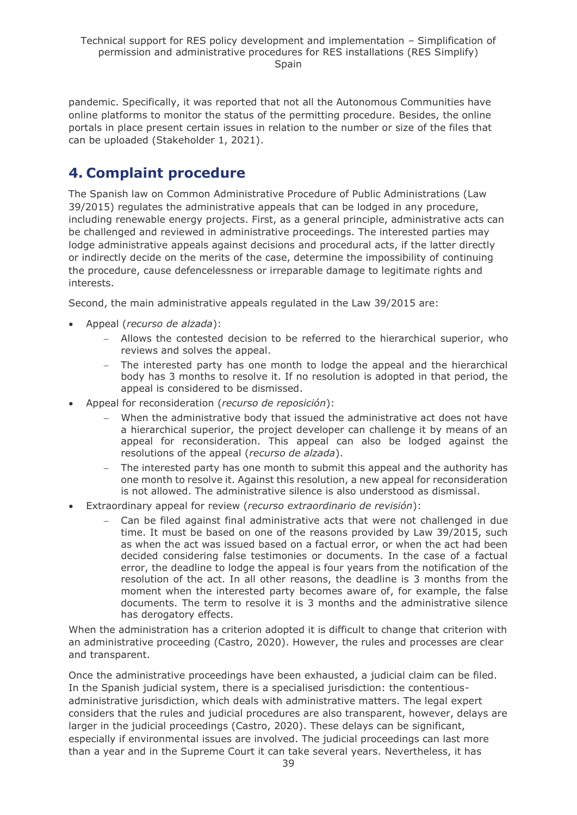pandemic. Specifically, it was reported that not all the Autonomous Communities have online platforms to monitor the status of the permitting procedure. Besides, the online portals in place present certain issues in relation to the number or size of the files that can be uploaded (Stakeholder 1, 2021).

## <span id="page-38-0"></span>**4. Complaint procedure**

The Spanish law on Common Administrative Procedure of Public Administrations (Law 39/2015) regulates the administrative appeals that can be lodged in any procedure, including renewable energy projects. First, as a general principle, administrative acts can be challenged and reviewed in administrative proceedings. The interested parties may lodge administrative appeals against decisions and procedural acts, if the latter directly or indirectly decide on the merits of the case, determine the impossibility of continuing the procedure, cause defencelessness or irreparable damage to legitimate rights and interests.

Second, the main administrative appeals regulated in the Law 39/2015 are:

- Appeal (*recurso de alzada*):
	- − Allows the contested decision to be referred to the hierarchical superior, who reviews and solves the appeal.
	- − The interested party has one month to lodge the appeal and the hierarchical body has 3 months to resolve it. If no resolution is adopted in that period, the appeal is considered to be dismissed.
- Appeal for reconsideration (*recurso de reposición*):
	- When the administrative body that issued the administrative act does not have a hierarchical superior, the project developer can challenge it by means of an appeal for reconsideration. This appeal can also be lodged against the resolutions of the appeal (*recurso de alzada*).
	- The interested party has one month to submit this appeal and the authority has one month to resolve it. Against this resolution, a new appeal for reconsideration is not allowed. The administrative silence is also understood as dismissal.
- Extraordinary appeal for review (*recurso extraordinario de revisión*):
	- − Can be filed against final administrative acts that were not challenged in due time. It must be based on one of the reasons provided by Law 39/2015, such as when the act was issued based on a factual error, or when the act had been decided considering false testimonies or documents. In the case of a factual error, the deadline to lodge the appeal is four years from the notification of the resolution of the act. In all other reasons, the deadline is 3 months from the moment when the interested party becomes aware of, for example, the false documents. The term to resolve it is 3 months and the administrative silence has derogatory effects.

When the administration has a criterion adopted it is difficult to change that criterion with an administrative proceeding (Castro, 2020). However, the rules and processes are clear and transparent.

Once the administrative proceedings have been exhausted, a judicial claim can be filed. In the Spanish judicial system, there is a specialised jurisdiction: the contentiousadministrative jurisdiction, which deals with administrative matters. The legal expert considers that the rules and judicial procedures are also transparent, however, delays are larger in the judicial proceedings (Castro, 2020). These delays can be significant, especially if environmental issues are involved. The judicial proceedings can last more than a year and in the Supreme Court it can take several years. Nevertheless, it has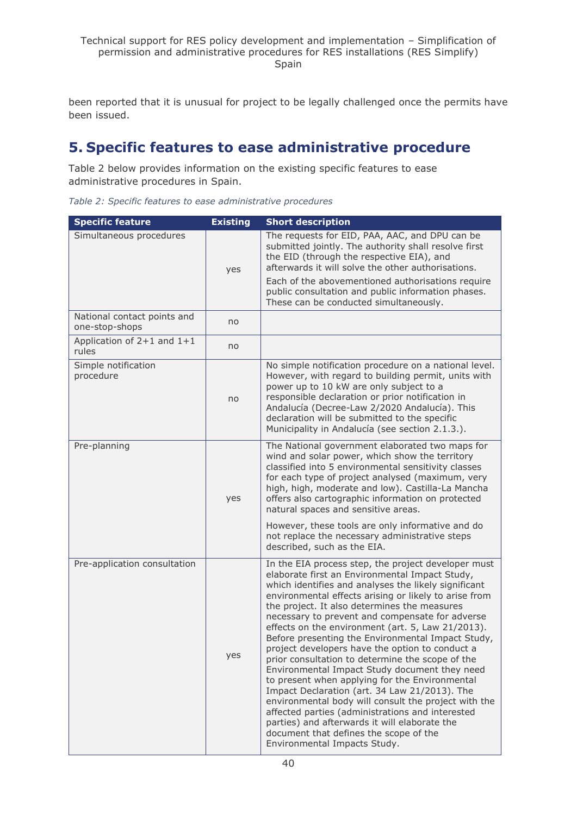been reported that it is unusual for project to be legally challenged once the permits have been issued.

## <span id="page-39-0"></span>**5. Specific features to ease administrative procedure**

Table 2 below provides information on the existing specific features to ease administrative procedures in Spain.

*Table 2: Specific features to ease administrative procedures*

| <b>Specific feature</b>                       | <b>Existing</b> | <b>Short description</b>                                                                                                                                                                                                                                                                                                                                                                                                                                                                                                                                                                                                                                                                                                                                                                                                                                                                                                              |
|-----------------------------------------------|-----------------|---------------------------------------------------------------------------------------------------------------------------------------------------------------------------------------------------------------------------------------------------------------------------------------------------------------------------------------------------------------------------------------------------------------------------------------------------------------------------------------------------------------------------------------------------------------------------------------------------------------------------------------------------------------------------------------------------------------------------------------------------------------------------------------------------------------------------------------------------------------------------------------------------------------------------------------|
| Simultaneous procedures                       | yes             | The requests for EID, PAA, AAC, and DPU can be<br>submitted jointly. The authority shall resolve first<br>the EID (through the respective EIA), and<br>afterwards it will solve the other authorisations.<br>Each of the abovementioned authorisations require<br>public consultation and public information phases.<br>These can be conducted simultaneously.                                                                                                                                                                                                                                                                                                                                                                                                                                                                                                                                                                        |
| National contact points and<br>one-stop-shops | no              |                                                                                                                                                                                                                                                                                                                                                                                                                                                                                                                                                                                                                                                                                                                                                                                                                                                                                                                                       |
| Application of $2+1$ and $1+1$<br>rules       | no              |                                                                                                                                                                                                                                                                                                                                                                                                                                                                                                                                                                                                                                                                                                                                                                                                                                                                                                                                       |
| Simple notification<br>procedure              | no              | No simple notification procedure on a national level.<br>However, with regard to building permit, units with<br>power up to 10 kW are only subject to a<br>responsible declaration or prior notification in<br>Andalucía (Decree-Law 2/2020 Andalucía). This<br>declaration will be submitted to the specific<br>Municipality in Andalucía (see section 2.1.3.).                                                                                                                                                                                                                                                                                                                                                                                                                                                                                                                                                                      |
| Pre-planning                                  | yes             | The National government elaborated two maps for<br>wind and solar power, which show the territory<br>classified into 5 environmental sensitivity classes<br>for each type of project analysed (maximum, very<br>high, high, moderate and low). Castilla-La Mancha<br>offers also cartographic information on protected<br>natural spaces and sensitive areas.                                                                                                                                                                                                                                                                                                                                                                                                                                                                                                                                                                         |
|                                               |                 | However, these tools are only informative and do<br>not replace the necessary administrative steps<br>described, such as the EIA.                                                                                                                                                                                                                                                                                                                                                                                                                                                                                                                                                                                                                                                                                                                                                                                                     |
| Pre-application consultation                  | yes             | In the EIA process step, the project developer must<br>elaborate first an Environmental Impact Study,<br>which identifies and analyses the likely significant<br>environmental effects arising or likely to arise from<br>the project. It also determines the measures<br>necessary to prevent and compensate for adverse<br>effects on the environment (art. 5, Law 21/2013).<br>Before presenting the Environmental Impact Study,<br>project developers have the option to conduct a<br>prior consultation to determine the scope of the<br>Environmental Impact Study document they need<br>to present when applying for the Environmental<br>Impact Declaration (art. 34 Law 21/2013). The<br>environmental body will consult the project with the<br>affected parties (administrations and interested<br>parties) and afterwards it will elaborate the<br>document that defines the scope of the<br>Environmental Impacts Study. |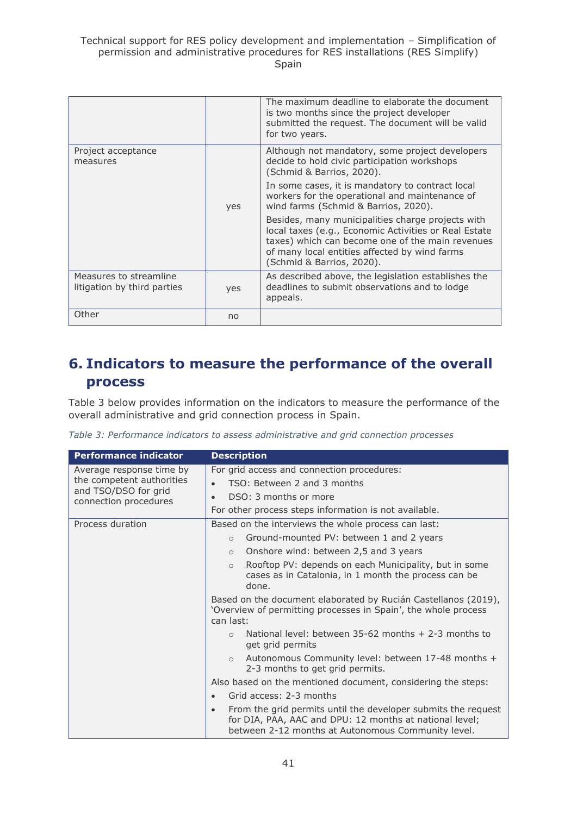|                                                       |     | The maximum deadline to elaborate the document<br>is two months since the project developer<br>submitted the request. The document will be valid<br>for two years.                                                                           |
|-------------------------------------------------------|-----|----------------------------------------------------------------------------------------------------------------------------------------------------------------------------------------------------------------------------------------------|
| Project acceptance<br>measures                        |     | Although not mandatory, some project developers<br>decide to hold civic participation workshops<br>(Schmid & Barrios, 2020).                                                                                                                 |
|                                                       | yes | In some cases, it is mandatory to contract local<br>workers for the operational and maintenance of<br>wind farms (Schmid & Barrios, 2020).                                                                                                   |
|                                                       |     | Besides, many municipalities charge projects with<br>local taxes (e.g., Economic Activities or Real Estate<br>taxes) which can become one of the main revenues<br>of many local entities affected by wind farms<br>(Schmid & Barrios, 2020). |
| Measures to streamline<br>litigation by third parties | yes | As described above, the legislation establishes the<br>deadlines to submit observations and to lodge<br>appeals.                                                                                                                             |
| Other                                                 | no  |                                                                                                                                                                                                                                              |

## <span id="page-40-0"></span>**6. Indicators to measure the performance of the overall process**

Table 3 below provides information on the indicators to measure the performance of the overall administrative and grid connection process in Spain.

| Table 3: Performance indicators to assess administrative and grid connection processes |  |  |  |
|----------------------------------------------------------------------------------------|--|--|--|
|----------------------------------------------------------------------------------------|--|--|--|

| <b>Performance indicator</b>                      | <b>Description</b>                                                                                                                                                                          |
|---------------------------------------------------|---------------------------------------------------------------------------------------------------------------------------------------------------------------------------------------------|
| Average response time by                          | For grid access and connection procedures:                                                                                                                                                  |
| the competent authorities<br>and TSO/DSO for grid | TSO: Between 2 and 3 months<br>$\bullet$                                                                                                                                                    |
| connection procedures                             | DSO: 3 months or more<br>$\bullet$                                                                                                                                                          |
|                                                   | For other process steps information is not available.                                                                                                                                       |
| Process duration                                  | Based on the interviews the whole process can last:                                                                                                                                         |
|                                                   | Ground-mounted PV: between 1 and 2 years<br>$\circ$                                                                                                                                         |
|                                                   | Onshore wind: between 2,5 and 3 years<br>$\circ$                                                                                                                                            |
|                                                   | Rooftop PV: depends on each Municipality, but in some<br>$\circ$<br>cases as in Catalonia, in 1 month the process can be<br>done.                                                           |
|                                                   | Based on the document elaborated by Rucián Castellanos (2019),<br>'Overview of permitting processes in Spain', the whole process<br>can last:                                               |
|                                                   | National level: between $35-62$ months $+2-3$ months to<br>$\circ$<br>get grid permits                                                                                                      |
|                                                   | Autonomous Community level: between 17-48 months +<br>$\circ$<br>2-3 months to get grid permits.                                                                                            |
|                                                   | Also based on the mentioned document, considering the steps:                                                                                                                                |
|                                                   | Grid access: 2-3 months<br>$\bullet$                                                                                                                                                        |
|                                                   | From the grid permits until the developer submits the request<br>$\bullet$<br>for DIA, PAA, AAC and DPU: 12 months at national level;<br>between 2-12 months at Autonomous Community level. |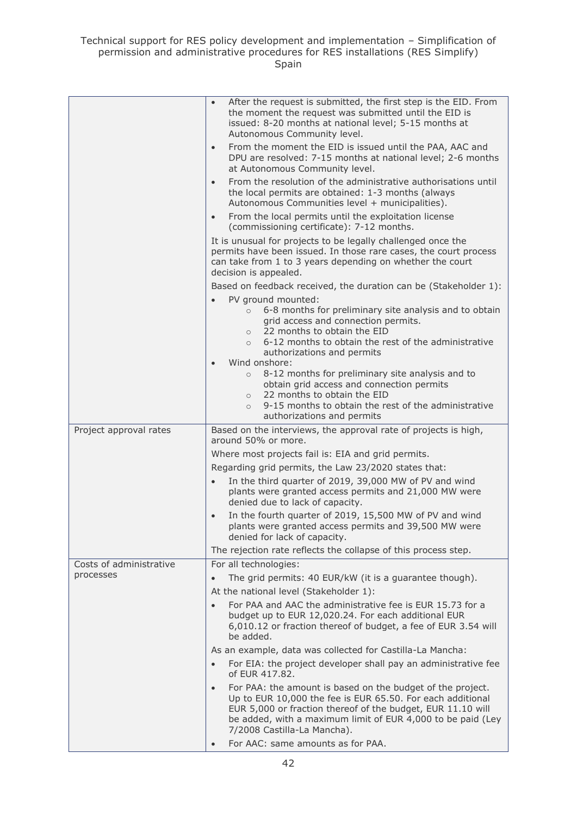|                         | After the request is submitted, the first step is the EID. From<br>$\bullet$<br>the moment the request was submitted until the EID is<br>issued: 8-20 months at national level; 5-15 months at<br>Autonomous Community level. |
|-------------------------|-------------------------------------------------------------------------------------------------------------------------------------------------------------------------------------------------------------------------------|
|                         | From the moment the EID is issued until the PAA, AAC and<br>$\bullet$<br>DPU are resolved: 7-15 months at national level; 2-6 months<br>at Autonomous Community level.                                                        |
|                         | From the resolution of the administrative authorisations until<br>$\bullet$<br>the local permits are obtained: 1-3 months (always<br>Autonomous Communities level + municipalities).                                          |
|                         | From the local permits until the exploitation license<br>$\bullet$<br>(commissioning certificate): 7-12 months.                                                                                                               |
|                         | It is unusual for projects to be legally challenged once the<br>permits have been issued. In those rare cases, the court process<br>can take from 1 to 3 years depending on whether the court<br>decision is appealed.        |
|                         | Based on feedback received, the duration can be (Stakeholder 1):                                                                                                                                                              |
|                         | PV ground mounted:<br>6-8 months for preliminary site analysis and to obtain<br>$\circ$<br>grid access and connection permits.<br>22 months to obtain the EID<br>$\circ$                                                      |
|                         | 6-12 months to obtain the rest of the administrative<br>$\circ$<br>authorizations and permits<br>Wind onshore:<br>$\bullet$                                                                                                   |
|                         | 8-12 months for preliminary site analysis and to<br>$\circ$<br>obtain grid access and connection permits<br>22 months to obtain the EID<br>$\circ$<br>9-15 months to obtain the rest of the administrative                    |
|                         | $\circ$<br>authorizations and permits                                                                                                                                                                                         |
| Project approval rates  | Based on the interviews, the approval rate of projects is high,<br>around 50% or more.                                                                                                                                        |
|                         | Where most projects fail is: EIA and grid permits.                                                                                                                                                                            |
|                         | Regarding grid permits, the Law 23/2020 states that:                                                                                                                                                                          |
|                         | In the third quarter of 2019, 39,000 MW of PV and wind<br>plants were granted access permits and 21,000 MW were<br>denied due to lack of capacity.                                                                            |
|                         | In the fourth quarter of 2019, 15,500 MW of PV and wind<br>plants were granted access permits and 39,500 MW were<br>denied for lack of capacity.                                                                              |
|                         | The rejection rate reflects the collapse of this process step.                                                                                                                                                                |
| Costs of administrative | For all technologies:                                                                                                                                                                                                         |
| processes               | The grid permits: 40 EUR/kW (it is a guarantee though).<br>$\bullet$                                                                                                                                                          |
|                         | At the national level (Stakeholder 1):                                                                                                                                                                                        |
|                         | For PAA and AAC the administrative fee is EUR 15.73 for a<br>$\bullet$<br>budget up to EUR 12,020.24. For each additional EUR<br>6,010.12 or fraction thereof of budget, a fee of EUR 3.54 will<br>be added.                  |
|                         | As an example, data was collected for Castilla-La Mancha:                                                                                                                                                                     |
|                         | For EIA: the project developer shall pay an administrative fee<br>$\bullet$<br>of EUR 417.82.                                                                                                                                 |
|                         | For PAA: the amount is based on the budget of the project.<br>$\bullet$<br>Up to EUR 10,000 the fee is EUR 65.50. For each additional                                                                                         |
|                         | EUR 5,000 or fraction thereof of the budget, EUR 11.10 will<br>be added, with a maximum limit of EUR 4,000 to be paid (Ley<br>7/2008 Castilla-La Mancha).                                                                     |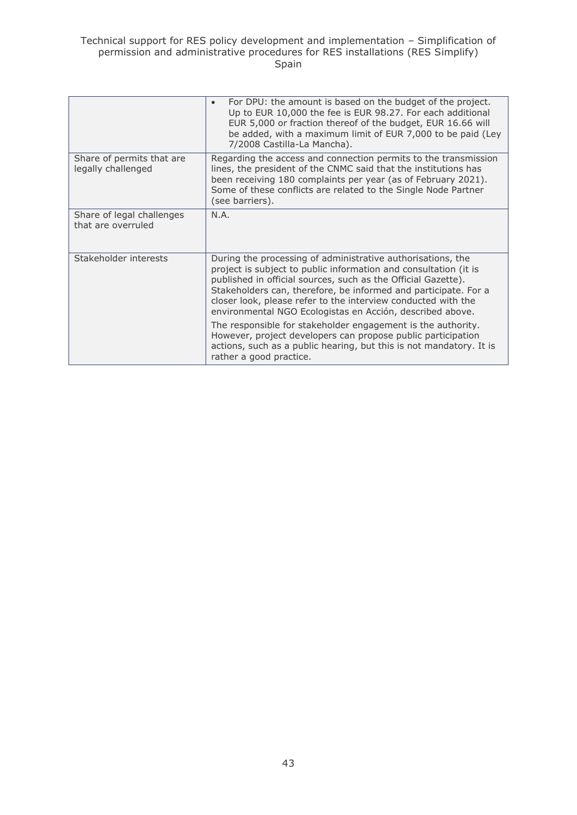|                                                 | For DPU: the amount is based on the budget of the project.<br>$\bullet$<br>Up to EUR 10,000 the fee is EUR 98.27. For each additional<br>EUR 5,000 or fraction thereof of the budget, EUR 16.66 will<br>be added, with a maximum limit of EUR 7,000 to be paid (Ley<br>7/2008 Castilla-La Mancha).                                                                                                                                                                |  |  |
|-------------------------------------------------|-------------------------------------------------------------------------------------------------------------------------------------------------------------------------------------------------------------------------------------------------------------------------------------------------------------------------------------------------------------------------------------------------------------------------------------------------------------------|--|--|
| Share of permits that are<br>legally challenged | Regarding the access and connection permits to the transmission<br>lines, the president of the CNMC said that the institutions has<br>been receiving 180 complaints per year (as of February 2021).<br>Some of these conflicts are related to the Single Node Partner<br>(see barriers).                                                                                                                                                                          |  |  |
| Share of legal challenges<br>that are overruled | N.A.                                                                                                                                                                                                                                                                                                                                                                                                                                                              |  |  |
| Stakeholder interests                           | During the processing of administrative authorisations, the<br>project is subject to public information and consultation (it is<br>published in official sources, such as the Official Gazette).<br>Stakeholders can, therefore, be informed and participate. For a<br>closer look, please refer to the interview conducted with the<br>environmental NGO Ecologistas en Acción, described above.<br>The responsible for stakeholder engagement is the authority. |  |  |
|                                                 | However, project developers can propose public participation<br>actions, such as a public hearing, but this is not mandatory. It is<br>rather a good practice.                                                                                                                                                                                                                                                                                                    |  |  |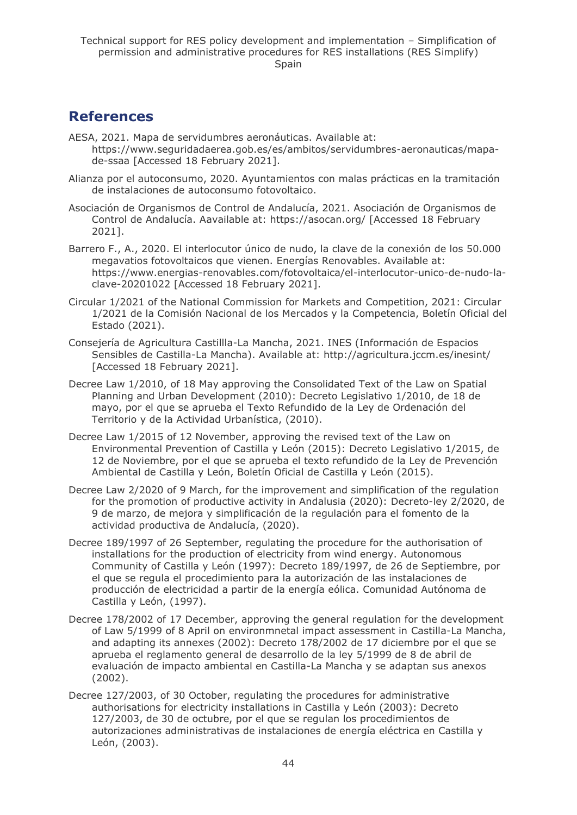## <span id="page-43-0"></span>**References**

- AESA, 2021. Mapa de servidumbres aeronáuticas. Available at: https://www.seguridadaerea.gob.es/es/ambitos/servidumbres-aeronauticas/mapade-ssaa [Accessed 18 February 2021].
- Alianza por el autoconsumo, 2020. Ayuntamientos con malas prácticas en la tramitación de instalaciones de autoconsumo fotovoltaico.
- Asociación de Organismos de Control de Andalucía, 2021. Asociación de Organismos de Control de Andalucía. Aavailable at: https://asocan.org/ [Accessed 18 February 2021].
- Barrero F., A., 2020. El interlocutor único de nudo, la clave de la conexión de los 50.000 megavatios fotovoltaicos que vienen. Energías Renovables. Available at: https://www.energias-renovables.com/fotovoltaica/el-interlocutor-unico-de-nudo-laclave-20201022 [Accessed 18 February 2021].
- Circular 1/2021 of the National Commission for Markets and Competition, 2021: Circular 1/2021 de la Comisión Nacional de los Mercados y la Competencia, Boletín Oficial del Estado (2021).
- Consejería de Agricultura Castillla-La Mancha, 2021. INES (Información de Espacios Sensibles de Castilla-La Mancha). Available at: http://agricultura.jccm.es/inesint/ [Accessed 18 February 2021].
- Decree Law 1/2010, of 18 May approving the Consolidated Text of the Law on Spatial Planning and Urban Development (2010): Decreto Legislativo 1/2010, de 18 de mayo, por el que se aprueba el Texto Refundido de la Ley de Ordenación del Territorio y de la Actividad Urbanística, (2010).
- Decree Law 1/2015 of 12 November, approving the revised text of the Law on Environmental Prevention of Castilla y León (2015): Decreto Legislativo 1/2015, de 12 de Noviembre, por el que se aprueba el texto refundido de la Ley de Prevención Ambiental de Castilla y León, Boletín Oficial de Castilla y León (2015).
- Decree Law 2/2020 of 9 March, for the improvement and simplification of the regulation for the promotion of productive activity in Andalusia (2020): Decreto-ley 2/2020, de 9 de marzo, de mejora y simplificación de la regulación para el fomento de la actividad productiva de Andalucía, (2020).
- Decree 189/1997 of 26 September, regulating the procedure for the authorisation of installations for the production of electricity from wind energy. Autonomous Community of Castilla y León (1997): Decreto 189/1997, de 26 de Septiembre, por el que se regula el procedimiento para la autorización de las instalaciones de producción de electricidad a partir de la energía eólica. Comunidad Autónoma de Castilla y León, (1997).
- Decree 178/2002 of 17 December, approving the general regulation for the development of Law 5/1999 of 8 April on environmnetal impact assessment in Castilla-La Mancha, and adapting its annexes (2002): Decreto 178/2002 de 17 diciembre por el que se aprueba el reglamento general de desarrollo de la ley 5/1999 de 8 de abril de evaluación de impacto ambiental en Castilla-La Mancha y se adaptan sus anexos (2002).
- Decree 127/2003, of 30 October, regulating the procedures for administrative authorisations for electricity installations in Castilla y León (2003): Decreto 127/2003, de 30 de octubre, por el que se regulan los procedimientos de autorizaciones administrativas de instalaciones de energía eléctrica en Castilla y León, (2003).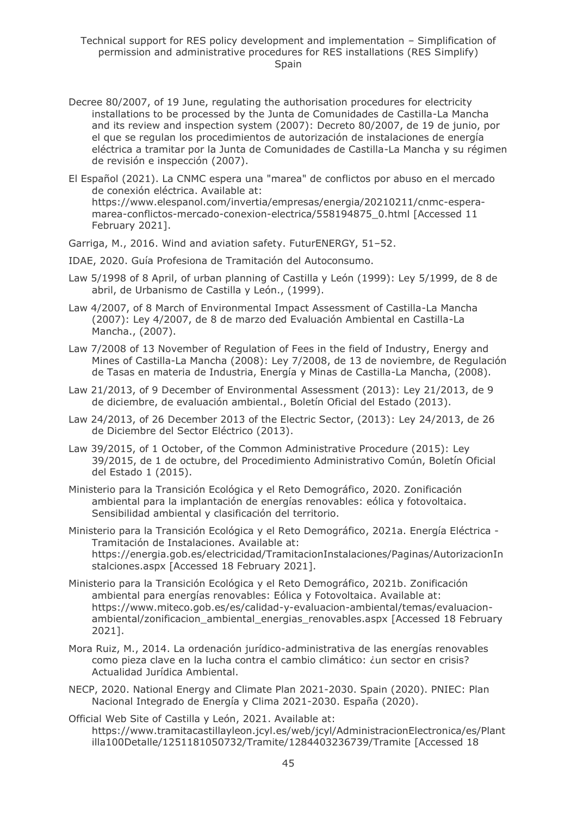- Decree 80/2007, of 19 June, regulating the authorisation procedures for electricity installations to be processed by the Junta de Comunidades de Castilla-La Mancha and its review and inspection system (2007): Decreto 80/2007, de 19 de junio, por el que se regulan los procedimientos de autorización de instalaciones de energía eléctrica a tramitar por la Junta de Comunidades de Castilla-La Mancha y su régimen de revisión e inspección (2007).
- El Español (2021). La CNMC espera una "marea" de conflictos por abuso en el mercado de conexión eléctrica. Available at: https://www.elespanol.com/invertia/empresas/energia/20210211/cnmc-esperamarea-conflictos-mercado-conexion-electrica/558194875\_0.html [Accessed 11 February 2021].
- Garriga, M., 2016. Wind and aviation safety. FuturENERGY, 51–52.
- IDAE, 2020. Guía Profesiona de Tramitación del Autoconsumo.
- Law 5/1998 of 8 April, of urban planning of Castilla y León (1999): Ley 5/1999, de 8 de abril, de Urbanismo de Castilla y León., (1999).
- Law 4/2007, of 8 March of Environmental Impact Assessment of Castilla-La Mancha (2007): Ley 4/2007, de 8 de marzo ded Evaluación Ambiental en Castilla-La Mancha., (2007).
- Law 7/2008 of 13 November of Regulation of Fees in the field of Industry, Energy and Mines of Castilla-La Mancha (2008): Ley 7/2008, de 13 de noviembre, de Regulación de Tasas en materia de Industria, Energía y Minas de Castilla-La Mancha, (2008).
- Law 21/2013, of 9 December of Environmental Assessment (2013): Ley 21/2013, de 9 de diciembre, de evaluación ambiental., Boletín Oficial del Estado (2013).
- Law 24/2013, of 26 December 2013 of the Electric Sector, (2013): Ley 24/2013, de 26 de Diciembre del Sector Eléctrico (2013).
- Law 39/2015, of 1 October, of the Common Administrative Procedure (2015): Ley 39/2015, de 1 de octubre, del Procedimiento Administrativo Común, Boletín Oficial del Estado 1 (2015).
- Ministerio para la Transición Ecológica y el Reto Demográfico, 2020. Zonificación ambiental para la implantación de energías renovables: eólica y fotovoltaica. Sensibilidad ambiental y clasificación del territorio.
- Ministerio para la Transición Ecológica y el Reto Demográfico, 2021a. Energía Eléctrica Tramitación de Instalaciones. Available at: https://energia.gob.es/electricidad/TramitacionInstalaciones/Paginas/AutorizacionIn stalciones.aspx [Accessed 18 February 2021].
- Ministerio para la Transición Ecológica y el Reto Demográfico, 2021b. Zonificación ambiental para energías renovables: Eólica y Fotovoltaica. Available at: https://www.miteco.gob.es/es/calidad-y-evaluacion-ambiental/temas/evaluacionambiental/zonificacion\_ambiental\_energias\_renovables.aspx [Accessed 18 February 2021].
- Mora Ruiz, M., 2014. La ordenación jurídico-administrativa de las energías renovables como pieza clave en la lucha contra el cambio climático: ¿un sector en crisis? Actualidad Jurídica Ambiental.
- NECP, 2020. National Energy and Climate Plan 2021-2030. Spain (2020). PNIEC: Plan Nacional Integrado de Energía y Clima 2021-2030. España (2020).
- Official Web Site of Castilla y León, 2021. Available at: https://www.tramitacastillayleon.jcyl.es/web/jcyl/AdministracionElectronica/es/Plant illa100Detalle/1251181050732/Tramite/1284403236739/Tramite [Accessed 18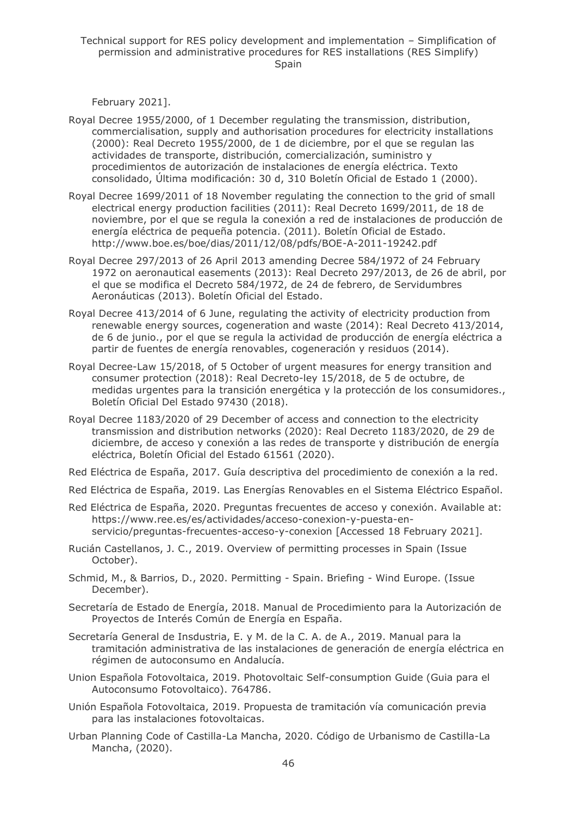February 2021].

- Royal Decree 1955/2000, of 1 December regulating the transmission, distribution, commercialisation, supply and authorisation procedures for electricity installations (2000): Real Decreto 1955/2000, de 1 de diciembre, por el que se regulan las actividades de transporte, distribución, comercialización, suministro y procedimientos de autorización de instalaciones de energía eléctrica. Texto consolidado, Última modificación: 30 d, 310 Boletín Oficial de Estado 1 (2000).
- Royal Decree 1699/2011 of 18 November regulating the connection to the grid of small electrical energy production facilities (2011): Real Decreto 1699/2011, de 18 de noviembre, por el que se regula la conexión a red de instalaciones de producción de energía eléctrica de pequeña potencia. (2011). Boletín Oficial de Estado. http://www.boe.es/boe/dias/2011/12/08/pdfs/BOE-A-2011-19242.pdf
- Royal Decree 297/2013 of 26 April 2013 amending Decree 584/1972 of 24 February 1972 on aeronautical easements (2013): Real Decreto 297/2013, de 26 de abril, por el que se modifica el Decreto 584/1972, de 24 de febrero, de Servidumbres Aeronáuticas (2013). Boletín Oficial del Estado.
- Royal Decree 413/2014 of 6 June, regulating the activity of electricity production from renewable energy sources, cogeneration and waste (2014): Real Decreto 413/2014, de 6 de junio., por el que se regula la actividad de producción de energía eléctrica a partir de fuentes de energía renovables, cogeneración y residuos (2014).
- Royal Decree-Law 15/2018, of 5 October of urgent measures for energy transition and consumer protection (2018): Real Decreto-ley 15/2018, de 5 de octubre, de medidas urgentes para la transición energética y la protección de los consumidores., Boletín Oficial Del Estado 97430 (2018).
- Royal Decree 1183/2020 of 29 December of access and connection to the electricity transmission and distribution networks (2020): Real Decreto 1183/2020, de 29 de diciembre, de acceso y conexión a las redes de transporte y distribución de energía eléctrica, Boletín Oficial del Estado 61561 (2020).
- Red Eléctrica de España, 2017. Guía descriptiva del procedimiento de conexión a la red.
- Red Eléctrica de España, 2019. Las Energías Renovables en el Sistema Eléctrico Español.
- Red Eléctrica de España, 2020. Preguntas frecuentes de acceso y conexión. Available at: https://www.ree.es/es/actividades/acceso-conexion-y-puesta-enservicio/preguntas-frecuentes-acceso-y-conexion [Accessed 18 February 2021].
- Rucián Castellanos, J. C., 2019. Overview of permitting processes in Spain (Issue October).
- Schmid, M., & Barrios, D., 2020. Permitting Spain. Briefing Wind Europe. (Issue December).
- Secretaría de Estado de Energía, 2018. Manual de Procedimiento para la Autorización de Proyectos de Interés Común de Energía en España.
- Secretaría General de Insdustria, E. y M. de la C. A. de A., 2019. Manual para la tramitación administrativa de las instalaciones de generación de energía eléctrica en régimen de autoconsumo en Andalucía.
- Union Española Fotovoltaica, 2019. Photovoltaic Self-consumption Guide (Guia para el Autoconsumo Fotovoltaico). 764786.
- Unión Española Fotovoltaica, 2019. Propuesta de tramitación vía comunicación previa para las instalaciones fotovoltaicas.
- Urban Planning Code of Castilla-La Mancha, 2020. Código de Urbanismo de Castilla-La Mancha, (2020).